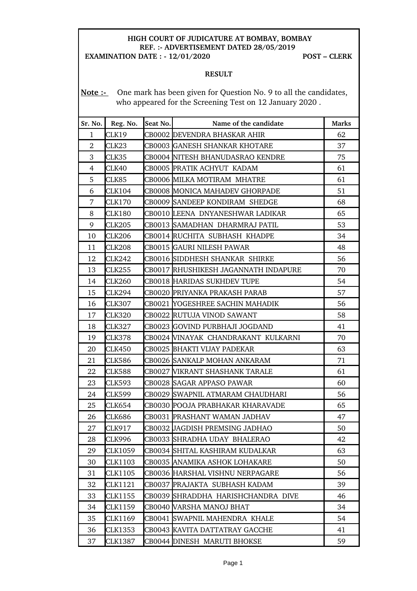## **HIGH COURT OF JUDICATURE AT BOMBAY, BOMBAY REF. : ADVERTISEMENT DATED 28/05/2019**

**EXAMINATION DATE : 12/01/2020 POST – CLERK**

## **RESULT**

Note :- One mark has been given for Question No. 9 to all the candidates, who appeared for the Screening Test on 12 January 2020 .

| Sr. No.        | Reg. No.      | Seat No. | Name of the candidate                | <b>Marks</b> |
|----------------|---------------|----------|--------------------------------------|--------------|
| $\mathbf{1}$   | CLK19         |          | CB0002 DEVENDRA BHASKAR AHIR         | 62           |
| $\overline{2}$ | CLK23         |          | CB0003 GANESH SHANKAR KHOTARE        | 37           |
| 3              | CLK35         |          | CB0004 NITESH BHANUDASRAO KENDRE     | 75           |
| $\overline{4}$ | CLK40         |          | CB0005 PRATIK ACHYUT KADAM           | 61           |
| 5              | CLK85         |          | CB0006 MILKA MOTIRAM MHATRE          | 61           |
| 6              | <b>CLK104</b> |          | CB0008 MONICA MAHADEV GHORPADE       | 51           |
| 7              | <b>CLK170</b> |          | CB0009 SANDEEP KONDIRAM SHEDGE       | 68           |
| 8              | <b>CLK180</b> |          | CB0010 LEENA DNYANESHWAR LADIKAR     | 65           |
| 9              | <b>CLK205</b> |          | CB0013 SAMADHAN DHARMRAJ PATIL       | 53           |
| 10             | <b>CLK206</b> |          | CB0014 RUCHITA SUBHASH KHADPE        | 34           |
| 11             | <b>CLK208</b> |          | CB0015 GAURI NILESH PAWAR            | 48           |
| 12             | <b>CLK242</b> |          | CB0016 SIDDHESH SHANKAR SHIRKE       | 56           |
| 13             | <b>CLK255</b> |          | CB0017 RHUSHIKESH JAGANNATH INDAPURE | 70           |
| 14             | <b>CLK260</b> |          | CB0018 HARIDAS SUKHDEV TUPE          | 54           |
| 15             | CLK294        |          | CB0020 PRIYANKA PRAKASH PARAB        | 57           |
| 16             | <b>CLK307</b> |          | CB0021 YOGESHREE SACHIN MAHADIK      | 56           |
| 17             | <b>CLK320</b> |          | CB0022 RUTUJA VINOD SAWANT           | 58           |
| 18             | <b>CLK327</b> |          | CB0023 GOVIND PURBHAJI JOGDAND       | 41           |
| 19             | <b>CLK378</b> |          | CB0024 VINAYAK CHANDRAKANT KULKARNI  | 70           |
| 20             | <b>CLK450</b> |          | CB0025 BHAKTI VIJAY PADEKAR          | 63           |
| 21             | <b>CLK586</b> |          | CB0026 SANKALP MOHAN ANKARAM         | 71           |
| 22             | <b>CLK588</b> |          | CB0027 WIKRANT SHASHANK TARALE       | 61           |
| 23             | <b>CLK593</b> |          | CB0028 SAGAR APPASO PAWAR            | 60           |
| 24             | <b>CLK599</b> |          | CB0029 SWAPNIL ATMARAM CHAUDHARI     | 56           |
| 25             | <b>CLK654</b> |          | CB0030 POOJA PRABHAKAR KHARAVADE     | 65           |
| 26             | <b>CLK686</b> |          | CB0031 PRASHANT WAMAN JADHAV         | 47           |
| 27             | CLK917        |          | CB0032 JAGDISH PREMSING JADHAO       | 50           |
| 28             | CLK996        |          | CB0033 SHRADHA UDAY BHALERAO         | 42           |
| 29             | CLK1059       |          | CB0034 SHITAL KASHIRAM KUDALKAR      | 63           |
| 30             | CLK1103       |          | CB0035 ANAMIKA ASHOK LOHAKARE        | 50           |
| 31             | CLK1105       |          | CB0036 HARSHAL VISHNU NERPAGARE      | 56           |
| 32             | CLK1121       |          | CB0037 PRAJAKTA SUBHASH KADAM        | 39           |
| 33             | CLK1155       |          | CB0039 SHRADDHA HARISHCHANDRA DIVE   | 46           |
| 34             | CLK1159       |          | CB0040 VARSHA MANOJ BHAT             | 34           |
| 35             | CLK1169       |          | CB0041 SWAPNIL MAHENDRA KHALE        | 54           |
| 36             | CLK1353       |          | CB0043 KAVITA DATTATRAY GACCHE       | 41           |
| 37             | CLK1387       |          | CB0044 DINESH MARUTI BHOKSE          | 59           |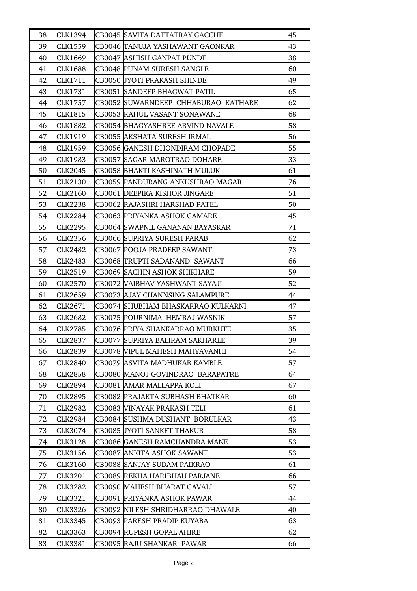| 38 | CLK1394        | CB0045 SAVITA DATTATRAY GACCHE      | 45 |
|----|----------------|-------------------------------------|----|
| 39 | CLK1559        | CB0046 TANUJA YASHAWANT GAONKAR     | 43 |
| 40 | CLK1669        | CB0047 ASHISH GANPAT PUNDE          | 38 |
| 41 | <b>CLK1688</b> | CB0048 PUNAM SURESH SANGLE          | 60 |
| 42 | CLK1711        | CB0050 JYOTI PRAKASH SHINDE         | 49 |
| 43 | CLK1731        | CB0051 SANDEEP BHAGWAT PATIL        | 65 |
| 44 | CLK1757        | CB0052 SUWARNDEEP CHHABURAO KATHARE | 62 |
| 45 | <b>CLK1815</b> | CB0053 RAHUL VASANT SONAWANE        | 68 |
| 46 | CLK1882        | CB0054 BHAGYASHREE ARVIND NAVALE    | 58 |
| 47 | CLK1919        | CB0055 AKSHATA SURESH IRMAL         | 56 |
| 48 | CLK1959        | CB0056 GANESH DHONDIRAM CHOPADE     | 55 |
| 49 | CLK1983        | CB0057 SAGAR MAROTRAO DOHARE        | 33 |
| 50 | <b>CLK2045</b> | CB0058 BHAKTI KASHINATH MULUK       | 61 |
| 51 | <b>CLK2130</b> | CB0059 PANDURANG ANKUSHRAO MAGAR    | 76 |
| 52 | <b>CLK2160</b> | CB0061 DEEPIKA KISHOR JINGARE       | 51 |
| 53 | CLK2238        | CB0062 RAJASHRI HARSHAD PATEL       | 50 |
| 54 | <b>CLK2284</b> | CB0063 PRIYANKA ASHOK GAMARE        | 45 |
| 55 | <b>CLK2295</b> | CB0064 SWAPNIL GANANAN BAYASKAR     | 71 |
| 56 | CLK2356        | CB0066 SUPRIYA SURESH PARAB         | 62 |
| 57 | CLK2482        | CB0067 POOJA PRADEEP SAWANT         | 73 |
| 58 | <b>CLK2483</b> | CB0068 TRUPTI SADANAND SAWANT       | 66 |
| 59 | CLK2519        | CB0069 SACHIN ASHOK SHIKHARE        | 59 |
| 60 | <b>CLK2570</b> | CB0072 VAIBHAV YASHWANT SAYAJI      | 52 |
| 61 | CLK2659        | CB0073  AJAY CHANNSING SALAMPURE    | 44 |
| 62 | CLK2671        | CB0074 SHUBHAM BHASKARRAO KULKARNI  | 47 |
| 63 | <b>CLK2682</b> | CB0075 POURNIMA HEMRAJ WASNIK       | 57 |
| 64 | <b>CLK2785</b> | CB0076 PRIYA SHANKARRAO MURKUTE     | 35 |
| 65 | <b>CLK2837</b> | CB0077 SUPRIYA BALIRAM SAKHARLE     | 39 |
| 66 | CLK2839        | CB0078 WIPUL MAHESH MAHYAVANHI      | 54 |
| 67 | <b>CLK2840</b> | CB0079 ASVITA MADHUKAR KAMBLE       | 57 |
| 68 | CLK2858        | CB0080 MANOJ GOVINDRAO BARAPATRE    | 64 |
| 69 | CLK2894        | CB0081  AMAR MALLAPPA KOLI          | 67 |
| 70 | CLK2895        | CB0082 PRAJAKTA SUBHASH BHATKAR     | 60 |
| 71 | CLK2982        | CB0083 VINAYAK PRAKASH TELI         | 61 |
| 72 | CLK2984        | CB0084 SUSHMA DUSHANT BORULKAR      | 43 |
| 73 | CLK3074        | CB0085 JYOTI SANKET THAKUR          | 58 |
| 74 | CLK3128        | CB0086 GANESH RAMCHANDRA MANE       | 53 |
| 75 | CLK3156        | CB0087 ANKITA ASHOK SAWANT          | 53 |
| 76 | CLK3160        | CB0088 SANJAY SUDAM PAIKRAO         | 61 |
| 77 | CLK3201        | CB0089 REKHA HARIBHAU PARJANE       | 66 |
| 78 | CLK3282        | CB0090 MAHESH BHARAT GAVALI         | 57 |
| 79 | CLK3321        | CB0091 PRIYANKA ASHOK PAWAR         | 44 |
| 80 | CLK3326        | CB0092 NILESH SHRIDHARRAO DHAWALE   | 40 |
| 81 | CLK3345        | CB0093  PARESH PRADIP KUYABA        | 63 |
| 82 | CLK3363        | CB0094 RUPESH GOPAL AHIRE           | 62 |
| 83 | CLK3381        | CB0095 RAJU SHANKAR PAWAR           | 66 |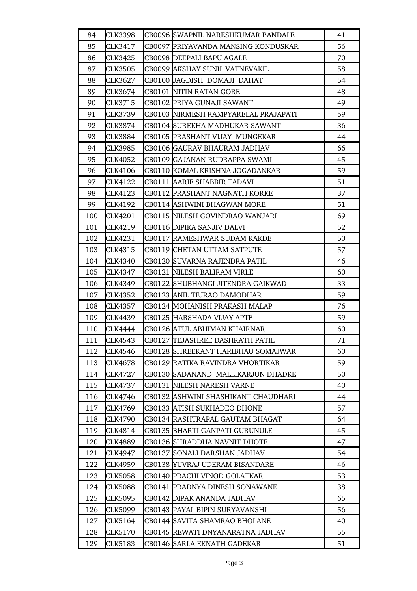| 84  | <b>CLK3398</b> | CB0096 SWAPNIL NARESHKUMAR BANDALE   | 41 |
|-----|----------------|--------------------------------------|----|
| 85  | CLK3417        | CB0097  PRIYAVANDA MANSING KONDUSKAR | 56 |
| 86  | CLK3425        | CB0098 DEEPALI BAPU AGALE            | 70 |
| 87  | CLK3505        | CB0099  AKSHAY SUNIL VATNEVAKIL      | 58 |
| 88  | CLK3627        | CB0100 JAGDISH DOMAJI DAHAT          | 54 |
| 89  | CLK3674        | CB0101 NITIN RATAN GORE              | 48 |
| 90  | CLK3715        | CB0102 PRIYA GUNAJI SAWANT           | 49 |
| 91  | CLK3739        | CB0103 NIRMESH RAMPYARELAL PRAJAPATI | 59 |
| 92  | CLK3874        | CB0104 SUREKHA MADHUKAR SAWANT       | 36 |
| 93  | CLK3884        | CB0105  PRASHANT VIJAY MUNGEKAR      | 44 |
| 94  | CLK3985        | CB0106  GAURAV BHAURAM JADHAV        | 66 |
| 95  | CLK4052        | CB0109  GAJANAN RUDRAPPA SWAMI       | 45 |
| 96  | CLK4106        | CB0110 KOMAL KRISHNA JOGADANKAR      | 59 |
| 97  | CLK4122        | CB0111 AARIF SHABBIR TADAVI          | 51 |
| 98  | CLK4123        | CB0112  PRASHANT NAGNATH KORKE       | 37 |
| 99  | CLK4192        | CB0114 ASHWINI BHAGWAN MORE          | 51 |
| 100 | <b>CLK4201</b> | CB0115 NILESH GOVINDRAO WANJARI      | 69 |
| 101 | CLK4219        | CB0116 DIPIKA SANJIV DALVI           | 52 |
| 102 | CLK4231        | CB0117 RAMESHWAR SUDAM KAKDE         | 50 |
| 103 | CLK4315        | CB0119 CHETAN UTTAM SATPUTE          | 57 |
| 104 | <b>CLK4340</b> | CB0120 SUVARNA RAJENDRA PATIL        | 46 |
| 105 | CLK4347        | CB0121 NILESH BALIRAM VIRLE          | 60 |
| 106 | CLK4349        | CB0122  SHUBHANGI JITENDRA GAIKWAD   | 33 |
| 107 | <b>CLK4352</b> | CB0123 ANIL TEJRAO DAMODHAR          | 59 |
| 108 | <b>CLK4357</b> | CB0124 MOHANISH PRAKASH MALAP        | 76 |
| 109 | <b>CLK4439</b> | CB0125 HARSHADA VIJAY APTE           | 59 |
| 110 | CLK4444        | CB0126  ATUL ABHIMAN KHAIRNAR        | 60 |
| 111 | <b>CLK4543</b> | CB0127 TEJASHREE DASHRATH PATIL      | 71 |
| 112 | CLK4546        | CB0128 SHREEKANT HARIBHAU SOMAJWAR   | 60 |
| 113 | CLK4678        | CB0129 RATIKA RAVINDRA VHORTIKAR     | 59 |
| 114 | CLK4727        | CB0130 SADANAND MALLIKARJUN DHADKE   | 50 |
| 115 | CLK4737        | CB0131 NILESH NARESH VARNE           | 40 |
| 116 | CLK4746        | CB0132  ASHWINI SHASHIKANT CHAUDHARI | 44 |
| 117 | CLK4769        | CB0133 ATISH SUKHADEO DHONE          | 57 |
| 118 | CLK4790        | CB0134 RASHTRAPAL GAUTAM BHAGAT      | 64 |
| 119 | CLK4814        | CB0135  BHARTI GANPATI GURUNULE      | 45 |
| 120 | CLK4889        | CB0136 SHRADDHA NAVNIT DHOTE         | 47 |
| 121 | CLK4947        | CB0137 SONALI DARSHAN JADHAV         | 54 |
| 122 | CLK4959        | CB0138  YUVRAJ UDERAM BISANDARE      | 46 |
| 123 | CLK5058        | CB0140 PRACHI VINOD GOLATKAR         | 53 |
| 124 | <b>CLK5088</b> | CB0141 PRADNYA DINESH SONAWANE       | 38 |
| 125 | CLK5095        | CB0142 DIPAK ANANDA JADHAV           | 65 |
| 126 | CLK5099        | CB0143  PAYAL BIPIN SURYAVANSHI      | 56 |
| 127 | CLK5164        | CB0144  SAVITA SHAMRAO BHOLANE       | 40 |
| 128 | CLK5170        | CB0145 REWATI DNYANARATNA JADHAV     | 55 |
| 129 | <b>CLK5183</b> | CB0146 SARLA EKNATH GADEKAR          | 51 |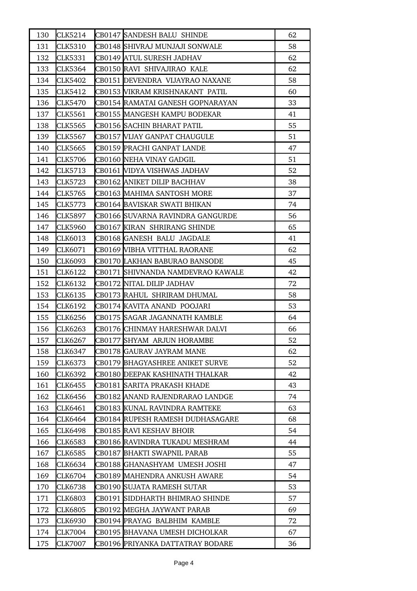| 130 | CLK5214        | CB0147 SANDESH BALU SHINDE        | 62 |
|-----|----------------|-----------------------------------|----|
| 131 | <b>CLK5310</b> | CB0148 SHIVRAJ MUNJAJI SONWALE    | 58 |
| 132 | <b>CLK5331</b> | CB0149 ATUL SURESH JADHAV         | 62 |
| 133 | CLK5364        | CB0150 RAVI SHIVAJIRAO KALE       | 62 |
| 134 | CLK5402        | CB0151 DEVENDRA VIJAYRAO NAXANE   | 58 |
| 135 | CLK5412        | CB0153 VIKRAM KRISHNAKANT PATIL   | 60 |
| 136 | CLK5470        | CB0154 RAMATAI GANESH GOPNARAYAN  | 33 |
| 137 | CLK5561        | CB0155 MANGESH KAMPU BODEKAR      | 41 |
| 138 | CLK5565        | CB0156 SACHIN BHARAT PATIL        | 55 |
| 139 | CLK5567        | CB0157 VIJAY GANPAT CHAUGULE      | 51 |
| 140 | CLK5665        | CB0159 PRACHI GANPAT LANDE        | 47 |
| 141 | CLK5706        | CB0160 NEHA VINAY GADGIL          | 51 |
| 142 | <b>CLK5713</b> | CB0161 VIDYA VISHWAS JADHAV       | 52 |
| 143 | CLK5723        | CB0162 ANIKET DILIP BACHHAV       | 38 |
| 144 | CLK5765        | CB0163 MAHIMA SANTOSH MORE        | 37 |
| 145 | CLK5773        | CB0164 BAVISKAR SWATI BHIKAN      | 74 |
| 146 | CLK5897        | CB0166 SUVARNA RAVINDRA GANGURDE  | 56 |
| 147 | <b>CLK5960</b> | CB0167 KIRAN SHRIRANG SHINDE      | 65 |
| 148 | CLK6013        | CB0168 GANESH BALU JAGDALE        | 41 |
| 149 | CLK6071        | CB0169 WIBHA VITTHAL RAORANE      | 62 |
| 150 | CLK6093        | CB0170 LAKHAN BABURAO BANSODE     | 45 |
| 151 | CLK6122        | CB0171 SHIVNANDA NAMDEVRAO KAWALE | 42 |
| 152 | CLK6132        | CB0172 NITAL DILIP JADHAV         | 72 |
| 153 | CLK6135        | CB0173 RAHUL SHRIRAM DHUMAL       | 58 |
| 154 | CLK6192        | CB0174 KAVITA ANAND POOJARI       | 53 |
| 155 | CLK6256        | CB0175 SAGAR JAGANNATH KAMBLE     | 64 |
| 156 | <b>CLK6263</b> | CB0176 CHINMAY HARESHWAR DALVI    | 66 |
| 157 | CLK6267        | CB0177 SHYAM ARJUN HORAMBE        | 52 |
| 158 | CLK6347        | CB0178 GAURAV JAYRAM MANE         | 62 |
| 159 | CLK6373        | CB0179 BHAGYASHREE ANIKET SURVE   | 52 |
| 160 | CLK6392        | CB0180  DEEPAK KASHINATH THALKAR  | 42 |
| 161 | CLK6455        | CB0181 SARITA PRAKASH KHADE       | 43 |
| 162 | CLK6456        | CB0182 ANAND RAJENDRARAO LANDGE   | 74 |
| 163 | CLK6461        | CB0183 KUNAL RAVINDRA RAMTEKE     | 63 |
| 164 | CLK6464        | CB0184 RUPESH RAMESH DUDHASAGARE  | 68 |
| 165 | CLK6498        | CB0185 RAVI KESHAV BHOIR          | 54 |
| 166 | CLK6583        | CB0186 RAVINDRA TUKADU MESHRAM    | 44 |
| 167 | CLK6585        | CB0187 BHAKTI SWAPNIL PARAB       | 55 |
| 168 | CLK6634        | CB0188 GHANASHYAM UMESH JOSHI     | 47 |
| 169 | CLK6704        | CB0189 MAHENDRA ANKUSH AWARE      | 54 |
| 170 | CLK6738        | CB0190 SUJATA RAMESH SUTAR        | 53 |
| 171 | CLK6803        | CB0191 SIDDHARTH BHIMRAO SHINDE   | 57 |
| 172 | <b>CLK6805</b> | CB0192 MEGHA JAYWANT PARAB        | 69 |
| 173 | CLK6930        | CB0194 PRAYAG BALBHIM KAMBLE      | 72 |
| 174 | <b>CLK7004</b> | CB0195 BHAVANA UMESH DICHOLKAR    | 67 |
| 175 | <b>CLK7007</b> | CB0196 PRIYANKA DATTATRAY BODARE  | 36 |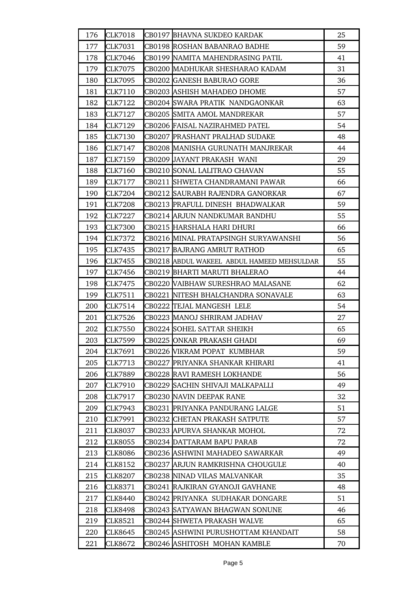| 176 | <b>CLK7018</b> | CB0197 BHAVNA SUKDEO KARDAK                | 25 |
|-----|----------------|--------------------------------------------|----|
| 177 | <b>CLK7031</b> | CB0198 ROSHAN BABANRAO BADHE               | 59 |
| 178 | <b>CLK7046</b> | CB0199 NAMITA MAHENDRASING PATIL           | 41 |
| 179 | <b>CLK7075</b> | CB0200 MADHUKAR SHESHARAO KADAM            | 31 |
| 180 | CLK7095        | CB0202 GANESH BABURAO GORE                 | 36 |
| 181 | CLK7110        | CB0203 ASHISH MAHADEO DHOME                | 57 |
| 182 | CLK7122        | CB0204 SWARA PRATIK NANDGAONKAR            | 63 |
| 183 | <b>CLK7127</b> | CB0205 SMITA AMOL MANDREKAR                | 57 |
| 184 | <b>CLK7129</b> | CB0206 FAISAL NAZIRAHMED PATEL             | 54 |
| 185 | <b>CLK7130</b> | CB0207 PRASHANT PRALHAD SUDAKE             | 48 |
| 186 | CLK7147        | CB0208 MANISHA GURUNATH MANJREKAR          | 44 |
| 187 | CLK7159        | CB0209 JAYANT PRAKASH WANI                 | 29 |
| 188 | <b>CLK7160</b> | CB0210 SONAL LALITRAO CHAVAN               | 55 |
| 189 | <b>CLK7177</b> | CB0211 SHWETA CHANDRAMANI PAWAR            | 66 |
| 190 | CLK7204        | CB0212 SAURABH RAJENDRA GANORKAR           | 67 |
| 191 | <b>CLK7208</b> | CB0213 PRAFULL DINESH BHADWALKAR           | 59 |
| 192 | CLK7227        | CB0214 ARJUN NANDKUMAR BANDHU              | 55 |
| 193 | <b>CLK7300</b> | CB0215 HARSHALA HARI DHURI                 | 66 |
| 194 | CLK7372        | CB0216  MINAL PRATAPSINGH SURYAWANSHI      | 56 |
| 195 | CLK7435        | CB0217 BAJRANG AMRUT RATHOD                | 65 |
| 196 | CLK7455        | CB0218 ABDUL WAKEEL ABDUL HAMEED MEHSULDAR | 55 |
| 197 | CLK7456        | CB0219 BHARTI MARUTI BHALERAO              | 44 |
| 198 | CLK7475        | CB0220  VAIBHAW SURESHRAO MALASANE         | 62 |
| 199 | CLK7511        | CB0221  NITESH BHALCHANDRA SONAVALE        | 63 |
| 200 | CLK7514        | CB0222 TEJAL MANGESH LELE                  | 54 |
| 201 | CLK7526        | CB0223 MANOJ SHRIRAM JADHAV                | 27 |
| 202 | <b>CLK7550</b> | CB0224 SOHEL SATTAR SHEIKH                 | 65 |
| 203 | <b>CLK7599</b> | CB0225 ONKAR PRAKASH GHADI                 | 69 |
| 204 | CLK7691        | CB0226 WIKRAM POPAT KUMBHAR                | 59 |
| 205 | CLK7713        | CB0227 PRIYANKA SHANKAR KHIRARI            | 41 |
| 206 | CLK7889        | CB0228 RAVI RAMESH LOKHANDE                | 56 |
| 207 | CLK7910        | CB0229  SACHIN SHIVAJI MALKAPALLI          | 49 |
| 208 | CLK7917        | CB0230  NAVIN DEEPAK RANE                  | 32 |
| 209 | CLK7943        | CB0231 PRIYANKA PANDURANG LALGE            | 51 |
| 210 | CLK7991        | CB0232  CHETAN PRAKASH SATPUTE             | 57 |
| 211 | CLK8037        | CB0233  APURVA SHANKAR MOHOL               | 72 |
| 212 | CLK8055        | CB0234 DATTARAM BAPU PARAB                 | 72 |
| 213 | <b>CLK8086</b> | CB0236 ASHWINI MAHADEO SAWARKAR            | 49 |
| 214 | CLK8152        | CB0237 ARJUN RAMKRISHNA CHOUGULE           | 40 |
| 215 | CLK8207        | CB0238  NINAD VILAS MALVANKAR              | 35 |
| 216 | CLK8371        | CB0241  RAJKIRAN GYANOJI GAVHANE           | 48 |
| 217 | <b>CLK8440</b> | CB0242 PRIYANKA SUDHAKAR DONGARE           | 51 |
| 218 | CLK8498        | CB0243 SATYAWAN BHAGWAN SONUNE             | 46 |
| 219 | CLK8521        | CB0244  SHWETA PRAKASH WALVE               | 65 |
| 220 | CLK8645        | CB0245 ASHWINI PURUSHOTTAM KHANDAIT        | 58 |
| 221 | CLK8672        | CB0246 ASHITOSH MOHAN KAMBLE               | 70 |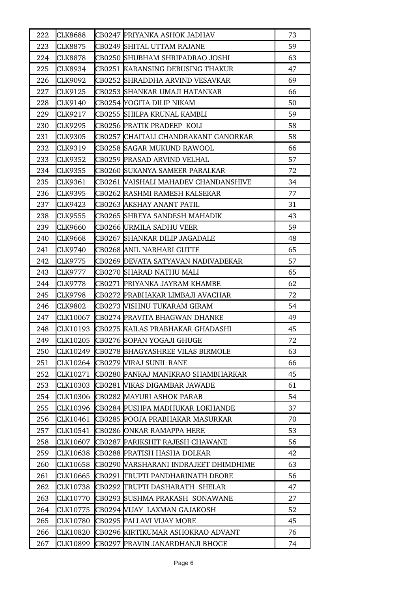| 222 | <b>CLK8688</b> | CB0247 PRIYANKA ASHOK JADHAV            | 73 |
|-----|----------------|-----------------------------------------|----|
| 223 | <b>CLK8875</b> | CB0249 SHITAL UTTAM RAJANE              | 59 |
| 224 | CLK8878        | CB0250 SHUBHAM SHRIPADRAO JOSHI         | 63 |
| 225 | CLK8934        | CB0251 KARANSING DEBUSING THAKUR        | 47 |
| 226 | CLK9092        | CB0252 SHRADDHA ARVIND VESAVKAR         | 69 |
| 227 | CLK9125        | CB0253 SHANKAR UMAJI HATANKAR           | 66 |
| 228 | <b>CLK9140</b> | CB0254 YOGITA DILIP NIKAM               | 50 |
| 229 | CLK9217        | CB0255 SHILPA KRUNAL KAMBLI             | 59 |
| 230 | CLK9295        | CB0256 PRATIK PRADEEP KOLI              | 58 |
| 231 | CLK9305        | CB0257 CHAITALI CHANDRAKANT GANORKAR    | 58 |
| 232 | CLK9319        | CB0258 SAGAR MUKUND RAWOOL              | 66 |
| 233 | CLK9352        | CB0259 PRASAD ARVIND VELHAL             | 57 |
| 234 | CLK9355        | CB0260 SUKANYA SAMEER PARALKAR          | 72 |
| 235 | CLK9361        | CB0261 VAISHALI MAHADEV CHANDANSHIVE    | 34 |
| 236 | <b>CLK9395</b> | CB0262 RASHMI RAMESH KALSEKAR           | 77 |
| 237 | CLK9423        | CB0263 AKSHAY ANANT PATIL               | 31 |
| 238 | <b>CLK9555</b> | CB0265 SHREYA SANDESH MAHADIK           | 43 |
| 239 | <b>CLK9660</b> | CB0266 URMILA SADHU VEER                | 59 |
| 240 | <b>CLK9668</b> | CB0267 SHANKAR DILIP JAGADALE           | 48 |
| 241 | CLK9740        | CB0268 ANIL NARHARI GUTTE               | 65 |
| 242 | CLK9775        | CB0269 DEVATA SATYAVAN NADIVADEKAR      | 57 |
| 243 | CLK9777        | CB0270 SHARAD NATHU MALI                | 65 |
| 244 | <b>CLK9778</b> | CB0271 PRIYANKA JAYRAM KHAMBE           | 62 |
| 245 | CLK9798        | CB0272 PRABHAKAR LIMBAJI AVACHAR        | 72 |
| 246 | <b>CLK9802</b> | CB0273  VISHNU TUKARAM GIRAM            | 54 |
| 247 | CLK10067       | CB0274 PRAVITA BHAGWAN DHANKE           | 49 |
| 248 | CLK10193       | CB0275 KAILAS PRABHAKAR GHADASHI        | 45 |
| 249 | CLK10205       | CB0276 SOPAN YOGAJI GHUGE               | 72 |
| 250 | CLK10249       | <b>CB0278 BHAGYASHREE VILAS BIRMOLE</b> | 63 |
| 251 | CLK10264       | CB0279 VIRAJ SUNIL RANE                 | 66 |
| 252 | CLK10271       | CB0280 PANKAJ MANIKRAO SHAMBHARKAR      | 45 |
| 253 | CLK10303       | CB0281 WIKAS DIGAMBAR JAWADE            | 61 |
| 254 | CLK10306       | CB0282 MAYURI ASHOK PARAB               | 54 |
| 255 | CLK10396       | CB0284 PUSHPA MADHUKAR LOKHANDE         | 37 |
| 256 | CLK10461       | CB0285  POOJA PRABHAKAR MASURKAR        | 70 |
| 257 | CLK10541       | CB0286 ONKAR RAMAPPA HERE               | 53 |
| 258 | CLK10607       | CB0287 PARIKSHIT RAJESH CHAWANE         | 56 |
| 259 | CLK10638       | CB0288 PRATISH HASHA DOLKAR             | 42 |
| 260 | CLK10658       | CB0290 VARSHARANI INDRAJEET DHIMDHIME   | 63 |
| 261 | CLK10665       | CB0291 TRUPTI PANDHARINATH DEORE        | 56 |
| 262 | CLK10738       | CB0292 TRUPTI DASHARATH SHELAR          | 47 |
| 263 | CLK10770       | CB0293 SUSHMA PRAKASH SONAWANE          | 27 |
| 264 | CLK10775       | CB0294 VIJAY LAXMAN GAJAKOSH            | 52 |
| 265 | CLK10780       | CB0295 PALLAVI VIJAY MORE               | 45 |
| 266 | CLK10820       | CB0296 KIRTIKUMAR ASHOKRAO ADVANT       | 76 |
| 267 | CLK10899       | CB0297 PRAVIN JANARDHANJI BHOGE         | 74 |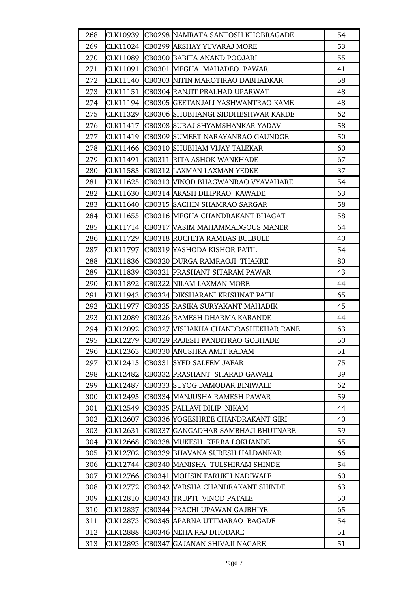| 268 |                 | CLK10939 CB0298 NAMRATA SANTOSH KHOBRAGADE | 54 |
|-----|-----------------|--------------------------------------------|----|
| 269 |                 | CLK11024 CB0299 AKSHAY YUVARAJ MORE        | 53 |
| 270 | CLK11089        | CB0300 BABITA ANAND POOJARI                | 55 |
| 271 | CLK11091        | CB0301 MEGHA MAHADEO PAWAR                 | 41 |
| 272 |                 | CLK11140 CB0303 NITIN MAROTIRAO DABHADKAR  | 58 |
| 273 | CLK11151        | CB0304 RANJIT PRALHAD UPARWAT              | 48 |
| 274 | CLK11194        | CB0305 GEETANJALI YASHWANTRAO KAME         | 48 |
| 275 | CLK11329        | CB0306 SHUBHANGI SIDDHESHWAR KAKDE         | 62 |
| 276 | CLK11417        | CB0308 SURAJ SHYAMSHANKAR YADAV            | 58 |
| 277 | CLK11419        | CB0309 SUMEET NARAYANRAO GAUNDGE           | 50 |
| 278 | CLK11466        | CB0310 SHUBHAM VIJAY TALEKAR               | 60 |
| 279 | CLK11491        | <b>CB0311 RITA ASHOK WANKHADE</b>          | 67 |
| 280 | CLK11585        | CB0312 LAXMAN LAXMAN YEDKE                 | 37 |
| 281 | CLK11625        | CB0313 WINOD BHAGWANRAO VYAVAHARE          | 54 |
| 282 | CLK11630        | CB0314 AKASH DILIPRAO KAWADE               | 63 |
| 283 | CLK11640        | CB0315 SACHIN SHAMRAO SARGAR               | 58 |
| 284 | CLK11655        | CB0316 MEGHA CHANDRAKANT BHAGAT            | 58 |
| 285 | CLK11714        | CB0317 VASIM MAHAMMADGOUS MANER            | 64 |
| 286 | CLK11729        | CB0318 RUCHITA RAMDAS BULBULE              | 40 |
| 287 | CLK11797        | CB0319 YASHODA KISHOR PATIL                | 54 |
| 288 | CLK11836        | CB0320 DURGA RAMRAOJI THAKRE               | 80 |
| 289 | CLK11839        | CB0321 PRASHANT SITARAM PAWAR              | 43 |
| 290 | CLK11892        | CB0322 NILAM LAXMAN MORE                   | 44 |
| 291 | CLK11943        | CB0324 DIKSHARANI KRISHNAT PATIL           | 65 |
| 292 | CLK11977        | CB0325 RASIKA SURYAKANT MAHADIK            | 45 |
| 293 | <b>CLK12089</b> | CB0326 RAMESH DHARMA KARANDE               | 44 |
| 294 | CLK12092        | CB0327 VISHAKHA CHANDRASHEKHAR RANE        | 63 |
| 295 | CLK12279        | CB0329 RAJESH PANDITRAO GOBHADE            | 50 |
| 296 | CLK12363        | CB0330 ANUSHKA AMIT KADAM                  | 51 |
| 297 | CLK12415        | CB0331 SYED SALEEM JAFAR                   | 75 |
| 298 | CLK12482        | CB0332 PRASHANT SHARAD GAWALI              | 39 |
| 299 | CLK12487        | CB0333 SUYOG DAMODAR BINIWALE              | 62 |
| 300 | CLK12495        | CB0334 MANJUSHA RAMESH PAWAR               | 59 |
| 301 | CLK12549        | CB0335 PALLAVI DILIP NIKAM                 | 44 |
| 302 | CLK12607        | CB0336 YOGESHREE CHANDRAKANT GIRI          | 40 |
| 303 | CLK12631        | CB0337 GANGADHAR SAMBHAJI BHUTNARE         | 59 |
| 304 | CLK12668        | CB0338 MUKESH KERBA LOKHANDE               | 65 |
| 305 | CLK12702        | CB0339 BHAVANA SURESH HALDANKAR            | 66 |
| 306 |                 | CLK12744 CB0340 MANISHA TULSHIRAM SHINDE   | 54 |
| 307 | CLK12766        | CB0341 MOHSIN FARUKH NADIWALE              | 60 |
| 308 | CLK12772        | CB0342 VARSHA CHANDRAKANT SHINDE           | 63 |
| 309 | CLK12810        | CB0343 TRUPTI VINOD PATALE                 | 50 |
| 310 | CLK12837        | CB0344 PRACHI UPAWAN GAJBHIYE              | 65 |
| 311 | CLK12873        | CB0345 APARNA UTTMARAO BAGADE              | 54 |
| 312 | CLK12888        | CB0346 NEHA RAJ DHODARE                    | 51 |
| 313 | CLK12893        | CB0347 GAJANAN SHIVAJI NAGARE              | 51 |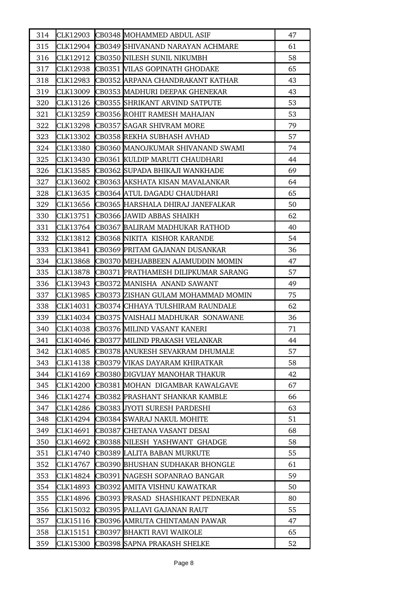| 314 |          | CLK12903 CB0348 MOHAMMED ABDUL ASIF        | 47 |
|-----|----------|--------------------------------------------|----|
| 315 |          | CLK12904 CB0349 SHIVANAND NARAYAN ACHMARE  | 61 |
| 316 | CLK12912 | CB0350 NILESH SUNIL NIKUMBH                | 58 |
| 317 |          | CLK12938 CB0351 WILAS GOPINATH GHODAKE     | 65 |
| 318 | CLK12983 | CB0352 ARPANA CHANDRAKANT KATHAR           | 43 |
| 319 |          | CLK13009 CB0353 MADHURI DEEPAK GHENEKAR    | 43 |
| 320 | CLK13126 | <b>CB0355 SHRIKANT ARVIND SATPUTE</b>      | 53 |
| 321 |          | CLK13259 CB0356 ROHIT RAMESH MAHAJAN       | 53 |
| 322 | CLK13298 | CB0357 SAGAR SHIVRAM MORE                  | 79 |
| 323 | CLK13302 | CB0358 REKHA SUBHASH AVHAD                 | 57 |
| 324 | CLK13380 | CB0360 MANOJKUMAR SHIVANAND SWAMI          | 74 |
| 325 | CLK13430 | CB0361 KULDIP MARUTI CHAUDHARI             | 44 |
| 326 | CLK13585 | CB0362 SUPADA BHIKAJI WANKHADE             | 69 |
| 327 | CLK13602 | CB0363 AKSHATA KISAN MAVALANKAR            | 64 |
| 328 | CLK13635 | CB0364 ATUL DAGADU CHAUDHARI               | 65 |
| 329 | CLK13656 | CB0365 HARSHALA DHIRAJ JANEFALKAR          | 50 |
| 330 | CLK13751 | CB0366 JAWID ABBAS SHAIKH                  | 62 |
| 331 | CLK13764 | CB0367 BALIRAM MADHUKAR RATHOD             | 40 |
| 332 | CLK13812 | CB0368 NIKITA KISHOR KARANDE               | 54 |
| 333 | CLK13841 | CB0369 PRITAM GAJANAN DUSANKAR             | 36 |
| 334 | CLK13868 | CB0370 MEHJABBEEN AJAMUDDIN MOMIN          | 47 |
| 335 | CLK13878 | CB0371 PRATHAMESH DILIPKUMAR SARANG        | 57 |
| 336 | CLK13943 | CB0372 MANISHA ANAND SAWANT                | 49 |
| 337 | CLK13985 | CB0373 ZISHAN GULAM MOHAMMAD MOMIN         | 75 |
| 338 | CLK14031 | CB0374 CHHAYA TULSHIRAM RAUNDALE           | 62 |
| 339 |          | CLK14034 CB0375 VAISHALI MADHUKAR SONAWANE | 36 |
| 340 | CLK14038 | CB0376 MILIND VASANT KANERI                | 71 |
| 341 |          | CLK14046 CB0377 MILIND PRAKASH VELANKAR    | 44 |
| 342 | CLK14085 | CB0378 ANUKESH SEVAKRAM DHUMALE            | 57 |
| 343 | CLK14138 | CB0379 VIKAS DAYARAM KHIRATKAR             | 58 |
| 344 | CLK14169 | CB0380 DIGVIJAY MANOHAR THAKUR             | 42 |
| 345 | CLK14200 | CB0381 MOHAN DIGAMBAR KAWALGAVE            | 67 |
| 346 | CLK14274 | CB0382 PRASHANT SHANKAR KAMBLE             | 66 |
| 347 | CLK14286 | CB0383 JYOTI SURESH PARDESHI               | 63 |
| 348 | CLK14294 | CB0384  SWARAJ NAKUL MOHITE                | 51 |
| 349 | CLK14691 | CB0387 CHETANA VASANT DESAI                | 68 |
| 350 | CLK14692 | CB0388 NILESH YASHWANT GHADGE              | 58 |
| 351 | CLK14740 | CB0389 LALITA BABAN MURKUTE                | 55 |
| 352 | CLK14767 | CB0390 BHUSHAN SUDHAKAR BHONGLE            | 61 |
| 353 | CLK14824 | CB0391 NAGESH SOPANRAO BANGAR              | 59 |
| 354 | CLK14893 | CB0392 AMITA VISHNU KAWATKAR               | 50 |
| 355 | CLK14896 | CB0393 PRASAD SHASHIKANT PEDNEKAR          | 80 |
| 356 | CLK15032 | CB0395  PALLAVI GAJANAN RAUT               | 55 |
| 357 | CLK15116 | CB0396 AMRUTA CHINTAMAN PAWAR              | 47 |
| 358 | CLK15151 | CB0397 BHAKTI RAVI WAIKOLE                 | 65 |
| 359 | CLK15300 | CB0398 SAPNA PRAKASH SHELKE                | 52 |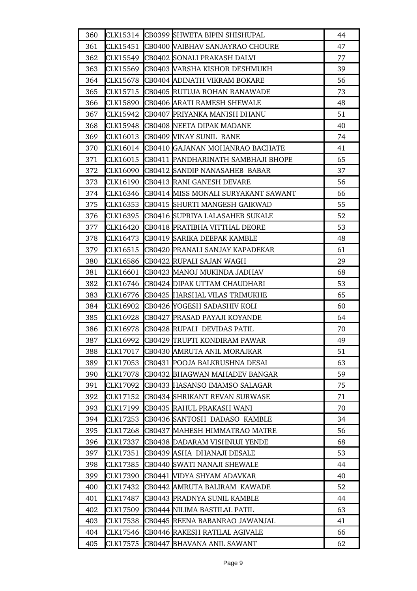| 360 |          | CLK15314 CB0399 SHWETA BIPIN SHISHUPAL | 44 |
|-----|----------|----------------------------------------|----|
| 361 | CLK15451 | CB0400 VAIBHAV SANJAYRAO CHOURE        | 47 |
| 362 |          | CLK15549 CB0402 SONALI PRAKASH DALVI   | 77 |
| 363 | CLK15569 | CB0403 VARSHA KISHOR DESHMUKH          | 39 |
| 364 | CLK15678 | CB0404 ADINATH VIKRAM BOKARE           | 56 |
| 365 |          | CLK15715 CB0405 RUTUJA ROHAN RANAWADE  | 73 |
| 366 | CLK15890 | CB0406 ARATI RAMESH SHEWALE            | 48 |
| 367 | CLK15942 | CB0407 PRIYANKA MANISH DHANU           | 51 |
| 368 | CLK15948 | CB0408 NEETA DIPAK MADANE              | 40 |
| 369 | CLK16013 | CB0409 VINAY SUNIL RANE                | 74 |
| 370 | CLK16014 | CB0410 GAJANAN MOHANRAO BACHATE        | 41 |
| 371 | CLK16015 | CB0411 PANDHARINATH SAMBHAJI BHOPE     | 65 |
| 372 | CLK16090 | CB0412 SANDIP NANASAHEB BABAR          | 37 |
| 373 | CLK16190 | CB0413 RANI GANESH DEVARE              | 56 |
| 374 | CLK16346 | CB0414 MISS MONALI SURYAKANT SAWANT    | 66 |
| 375 | CLK16353 | CB0415 SHURTI MANGESH GAIKWAD          | 55 |
| 376 | CLK16395 | CB0416 SUPRIYA LALASAHEB SUKALE        | 52 |
| 377 | CLK16420 | CB0418 PRATIBHA VITTHAL DEORE          | 53 |
| 378 | CLK16473 | CB0419 SARIKA DEEPAK KAMBLE            | 48 |
| 379 | CLK16515 | CB0420 PRANALI SANJAY KAPADEKAR        | 61 |
| 380 | CLK16586 | CB0422 RUPALI SAJAN WAGH               | 29 |
| 381 | CLK16601 | CB0423 MANOJ MUKINDA JADHAV            | 68 |
| 382 | CLK16746 | CB0424 DIPAK UTTAM CHAUDHARI           | 53 |
| 383 | CLK16776 | CB0425 HARSHAL VILAS TRIMUKHE          | 65 |
| 384 | CLK16902 | CB0426 YOGESH SADASHIV KOLI            | 60 |
| 385 | CLK16928 | CB0427 PRASAD PAYAJI KOYANDE           | 64 |
| 386 | CLK16978 | CB0428 RUPALI DEVIDAS PATIL            | 70 |
| 387 | CLK16992 | CB0429 TRUPTI KONDIRAM PAWAR           | 49 |
| 388 | CLK17017 | CB0430 AMRUTA ANIL MORAJKAR            | 51 |
| 389 | CLK17053 | CB0431 POOJA BALKRUSHNA DESAI          | 63 |
| 390 | CLK17078 | CB0432 BHAGWAN MAHADEV BANGAR          | 59 |
| 391 | CLK17092 | CB0433 HASANSO IMAMSO SALAGAR          | 75 |
| 392 | CLK17152 | CB0434 SHRIKANT REVAN SURWASE          | 71 |
| 393 | CLK17199 | CB0435 RAHUL PRAKASH WANI              | 70 |
| 394 | CLK17253 | CB0436 SANTOSH DADASO KAMBLE           | 34 |
| 395 | CLK17268 | CB0437 MAHESH HIMMATRAO MATRE          | 56 |
| 396 | CLK17337 | CB0438 DADARAM VISHNUJI YENDE          | 68 |
| 397 | CLK17351 | CB0439 ASHA DHANAJI DESALE             | 53 |
| 398 | CLK17385 | CB0440 SWATI NANAJI SHEWALE            | 44 |
| 399 | CLK17390 | CB0441 WIDYA SHYAM ADAVKAR             | 40 |
| 400 | CLK17432 | CB0442 AMRUTA BALIRAM KAWADE           | 52 |
| 401 | CLK17487 | CB0443 PRADNYA SUNIL KAMBLE            | 44 |
| 402 | CLK17509 | CB0444 NILIMA BASTILAL PATIL           | 63 |
| 403 | CLK17538 | CB0445 REENA BABANRAO JAWANJAL         | 41 |
| 404 | CLK17546 | CB0446 RAKESH RATILAL AGIVALE          | 66 |
| 405 | CLK17575 | CB0447 BHAVANA ANIL SAWANT             | 62 |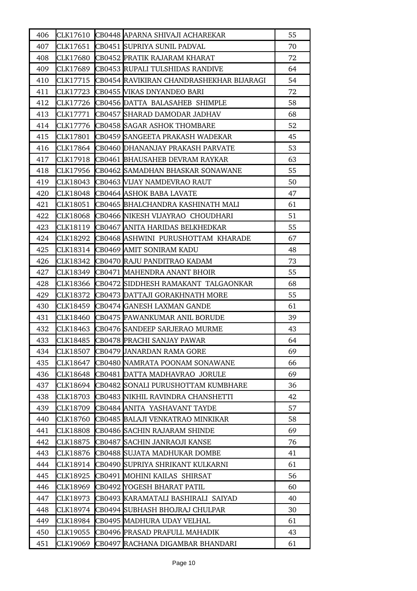| 406 |          | CLK17610 CB0448 APARNA SHIVAJI ACHAREKAR | 55 |
|-----|----------|------------------------------------------|----|
| 407 | CLK17651 | CB0451 SUPRIYA SUNIL PADVAL              | 70 |
| 408 | CLK17680 | CB0452 PRATIK RAJARAM KHARAT             | 72 |
| 409 | CLK17689 | CB0453 RUPALI TULSHIDAS RANDIVE          | 64 |
| 410 | CLK17715 | CB0454 RAVIKIRAN CHANDRASHEKHAR BIJARAGI | 54 |
| 411 |          | CLK17723 CB0455 VIKAS DNYANDEO BARI      | 72 |
| 412 | CLK17726 | CB0456 DATTA BALASAHEB SHIMPLE           | 58 |
| 413 | CLK17771 | CB0457 SHARAD DAMODAR JADHAV             | 68 |
| 414 | CLK17776 | CB0458 SAGAR ASHOK THOMBARE              | 52 |
| 415 | CLK17801 | CB0459 SANGEETA PRAKASH WADEKAR          | 45 |
| 416 | CLK17864 | <b>CB0460 DHANANJAY PRAKASH PARVATE</b>  | 53 |
| 417 | CLK17918 | CB0461 BHAUSAHEB DEVRAM RAYKAR           | 63 |
| 418 | CLK17956 | CB0462 SAMADHAN BHASKAR SONAWANE         | 55 |
| 419 | CLK18043 | CB0463 VIJAY NAMDEVRAO RAUT              | 50 |
| 420 | CLK18048 | CB0464 ASHOK BABA LAVATE                 | 47 |
| 421 | CLK18051 | CB0465 BHALCHANDRA KASHINATH MALI        | 61 |
| 422 | CLK18068 | CB0466 NIKESH VIJAYRAO CHOUDHARI         | 51 |
| 423 | CLK18119 | CB0467 ANITA HARIDAS BELKHEDKAR          | 55 |
| 424 | CLK18292 | CB0468 ASHWINI PURUSHOTTAM KHARADE       | 67 |
| 425 | CLK18314 | CB0469 AMIT SONIRAM KADU                 | 48 |
| 426 | CLK18342 | CB0470 RAJU PANDITRAO KADAM              | 73 |
| 427 | CLK18349 | CB0471 MAHENDRA ANANT BHOIR              | 55 |
| 428 | CLK18366 | CB0472 SIDDHESH RAMAKANT TALGAONKAR      | 68 |
| 429 | CLK18372 | <b>CB0473 DATTAJI GORAKHNATH MORE</b>    | 55 |
| 430 | CLK18459 | CB0474 GANESH LAXMAN GANDE               | 61 |
| 431 | CLK18460 | <b>CB0475 PAWANKUMAR ANIL BORUDE</b>     | 39 |
| 432 | CLK18463 | CB0476 SANDEEP SARJERAO MURME            | 43 |
| 433 | CLK18485 | CB0478 PRACHI SANJAY PAWAR               | 64 |
| 434 | CLK18507 | <b>CB0479 JANARDAN RAMA GORE</b>         | 69 |
| 435 | CLK18647 | CB0480 NAMRATA POONAM SONAWANE           | 66 |
| 436 | CLK18648 | CB0481 DATTA MADHAVRAO JORULE            | 69 |
| 437 | CLK18694 | CB0482 SONALI PURUSHOTTAM KUMBHARE       | 36 |
| 438 | CLK18703 | CB0483  NIKHIL RAVINDRA CHANSHETTI       | 42 |
| 439 | CLK18709 | CB0484 ANITA YASHAVANT TAYDE             | 57 |
| 440 | CLK18760 | CB0485 BALAJI VENKATRAO MINKIKAR         | 58 |
| 441 | CLK18808 | CB0486 SACHIN RAJARAM SHINDE             | 69 |
| 442 | CLK18875 | CB0487 SACHIN JANRAOJI KANSE             | 76 |
| 443 | CLK18876 | CB0488 SUJATA MADHUKAR DOMBE             | 41 |
| 444 | CLK18914 | CB0490 SUPRIYA SHRIKANT KULKARNI         | 61 |
| 445 | CLK18925 | CB0491 MOHINI KAILAS SHIRSAT             | 56 |
| 446 | CLK18969 | <b>CB0492 YOGESH BHARAT PATIL</b>        | 60 |
| 447 | CLK18973 | CB0493 KARAMATALI BASHIRALI SAIYAD       | 40 |
| 448 | CLK18974 | CB0494  SUBHASH BHOJRAJ CHULPAR          | 30 |
| 449 | CLK18984 | CB0495 MADHURA UDAY VELHAL               | 61 |
| 450 | CLK19055 | CB0496 PRASAD PRAFULL MAHADIK            | 43 |
| 451 | CLK19069 | CB0497 RACHANA DIGAMBAR BHANDARI         | 61 |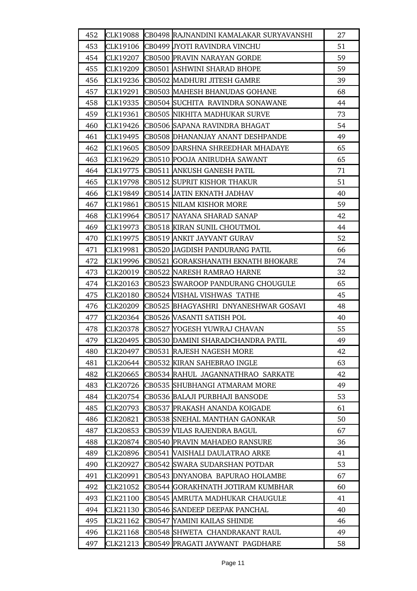| 452 | CLK19088        | CB0498 RAJNANDINI KAMALAKAR SURYAVANSHI | 27 |
|-----|-----------------|-----------------------------------------|----|
| 453 | CLK19106        | CB0499 JYOTI RAVINDRA VINCHU            | 51 |
| 454 | CLK19207        | CB0500 PRAVIN NARAYAN GORDE             | 59 |
| 455 | CLK19209        | CB0501 ASHWINI SHARAD BHOPE             | 59 |
| 456 | CLK19236        | CB0502 MADHURI JITESH GAMRE             | 39 |
| 457 | CLK19291        | CB0503 MAHESH BHANUDAS GOHANE           | 68 |
| 458 | CLK19335        | CB0504 SUCHITA RAVINDRA SONAWANE        | 44 |
| 459 | CLK19361        | CB0505 NIKHITA MADHUKAR SURVE           | 73 |
| 460 | CLK19426        | CB0506 SAPANA RAVINDRA BHAGAT           | 54 |
| 461 | CLK19495        | CB0508 DHANANJAY ANANT DESHPANDE        | 49 |
| 462 | CLK19605        | CB0509 DARSHNA SHREEDHAR MHADAYE        | 65 |
| 463 | CLK19629        | CB0510 POOJA ANIRUDHA SAWANT            | 65 |
| 464 | CLK19775        | CB0511 ANKUSH GANESH PATIL              | 71 |
| 465 | CLK19798        | CB0512 SUPRIT KISHOR THAKUR             | 51 |
| 466 | CLK19849        | CB0514 JATIN EKNATH JADHAV              | 40 |
| 467 | CLK19861        | CB0515 NILAM KISHOR MORE                | 59 |
| 468 | CLK19964        | CB0517 NAYANA SHARAD SANAP              | 42 |
| 469 | CLK19973        | CB0518 KIRAN SUNIL CHOUTMOL             | 44 |
| 470 | CLK19975        | CB0519 ANKIT JAYVANT GURAV              | 52 |
| 471 | CLK19981        | CB0520 JAGDISH PANDURANG PATIL          | 66 |
| 472 | CLK19996        | CB0521 GORAKSHANATH EKNATH BHOKARE      | 74 |
| 473 | CLK20019        | CB0522 NARESH RAMRAO HARNE              | 32 |
| 474 | CLK20163        | CB0523 SWAROOP PANDURANG CHOUGULE       | 65 |
| 475 | <b>CLK20180</b> | CB0524 VISHAL VISHWAS TATHE             | 45 |
| 476 | <b>CLK20209</b> | CB0525 BHAGYASHRI DNYANESHWAR GOSAVI    | 48 |
| 477 | CLK20364        | CB0526 WASANTI SATISH POL               | 40 |
| 478 | CLK20378        | CB0527 YOGESH YUWRAJ CHAVAN             | 55 |
| 479 | CLK20495        | CB0530 DAMINI SHARADCHANDRA PATIL       | 49 |
| 480 | CLK20497        | CB0531 RAJESH NAGESH MORE               | 42 |
| 481 | CLK20644        | CB0532 KIRAN SAHEBRAO INGLE             | 63 |
| 482 | CLK20665        | CB0534 RAHUL JAGANNATHRAO SARKATE       | 42 |
| 483 | CLK20726        | CB0535 SHUBHANGI ATMARAM MORE           | 49 |
| 484 | CLK20754        | CB0536 BALAJI PURBHAJI BANSODE          | 53 |
| 485 | CLK20793        | CB0537 PRAKASH ANANDA KOIGADE           | 61 |
| 486 | CLK20821        | CB0538 SNEHAL MANTHAN GAONKAR           | 50 |
| 487 | CLK20853        | CB0539 WILAS RAJENDRA BAGUL             | 67 |
| 488 | CLK20874        | CB0540 PRAVIN MAHADEO RANSURE           | 36 |
| 489 | CLK20896        | CB0541 WAISHALI DAULATRAO ARKE          | 41 |
| 490 | CLK20927        | CB0542  SWARA SUDARSHAN POTDAR          | 53 |
| 491 | CLK20991        | CB0543 DNYANOBA BAPURAO HOLAMBE         | 67 |
| 492 | CLK21052        | CB0544  GORAKHNATH JOTIRAM KUMBHAR      | 60 |
| 493 | CLK21100        | CB0545 AMRUTA MADHUKAR CHAUGULE         | 41 |
| 494 | CLK21130        | CB0546 SANDEEP DEEPAK PANCHAL           | 40 |
| 495 | CLK21162        | CB0547 YAMINI KAILAS SHINDE             | 46 |
| 496 | CLK21168        | CB0548 SHWETA CHANDRAKANT RAUL          | 49 |
| 497 | CLK21213        | CB0549 PRAGATI JAYWANT PAGDHARE         | 58 |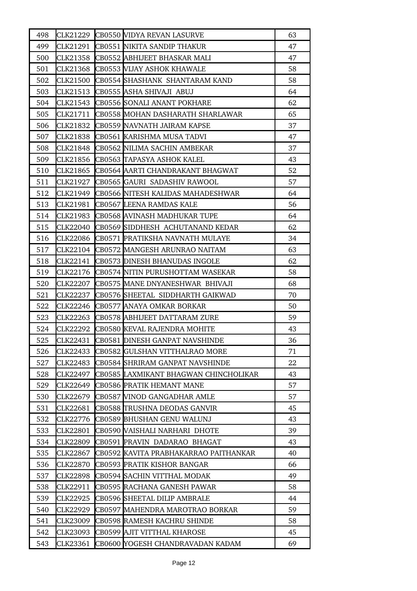| 498 |                 | CLK21229 CB0550 VIDYA REVAN LASURVE   | 63 |
|-----|-----------------|---------------------------------------|----|
| 499 | CLK21291        | CB0551 NIKITA SANDIP THAKUR           | 47 |
| 500 | CLK21358        | CB0552 ABHIJEET BHASKAR MALI          | 47 |
| 501 | CLK21368        | <b>CB0553 VIJAY ASHOK KHAWALE</b>     | 58 |
| 502 | CLK21500        | CB0554 SHASHANK SHANTARAM KAND        | 58 |
| 503 | CLK21513        | CB0555 ASHA SHIVAJI ABUJ              | 64 |
| 504 | CLK21543        | <b>CB0556 SONALI ANANT POKHARE</b>    | 62 |
| 505 | CLK21711        | CB0558 MOHAN DASHARATH SHARLAWAR      | 65 |
| 506 | CLK21832        | CB0559 NAVNATH JAIRAM KAPSE           | 37 |
| 507 | CLK21838        | CB0561 KARISHMA MUSA TADVI            | 47 |
| 508 | CLK21848        | CB0562 NILIMA SACHIN AMBEKAR          | 37 |
| 509 | CLK21856        | CB0563 TAPASYA ASHOK KALEL            | 43 |
| 510 | CLK21865        | CB0564 AARTI CHANDRAKANT BHAGWAT      | 52 |
| 511 | CLK21927        | CB0565 GAURI SADASHIV RAWOOL          | 57 |
| 512 | CLK21949        | CB0566 NITESH KALIDAS MAHADESHWAR     | 64 |
| 513 | CLK21981        | CB0567 LEENA RAMDAS KALE              | 56 |
| 514 | CLK21983        | CB0568 AVINASH MADHUKAR TUPE          | 64 |
| 515 | CLK22040        | CB0569 SIDDHESH ACHUTANAND KEDAR      | 62 |
| 516 | CLK22086        | CB0571 PRATIKSHA NAVNATH MULAYE       | 34 |
| 517 | CLK22104        | CB0572 MANGESH ARUNRAO NAITAM         | 63 |
| 518 | CLK22141        | CB0573 DINESH BHANUDAS INGOLE         | 62 |
| 519 | CLK22176        | CB0574 NITIN PURUSHOTTAM WASEKAR      | 58 |
| 520 | CLK22207        | CB0575 MANE DNYANESHWAR BHIVAJI       | 68 |
| 521 | CLK22237        | CB0576 SHEETAL SIDDHARTH GAIKWAD      | 70 |
| 522 | CLK22246        | CB0577 ANAYA OMKAR BORKAR             | 50 |
| 523 | CLK22263        | CB0578 ABHIJEET DATTARAM ZURE         | 59 |
| 524 | CLK22292        | CB0580 KEVAL RAJENDRA MOHITE          | 43 |
| 525 | CLK22431        | CB0581 DINESH GANPAT NAVSHINDE        | 36 |
| 526 | CLK22433        | CB0582 GULSHAN VITTHALRAO MORE        | 71 |
| 527 | <b>CLK22483</b> | CB0584 SHRIRAM GANPAT NAVSHINDE       | 22 |
| 528 | CLK22497        | CB0585 LAXMIKANT BHAGWAN CHINCHOLIKAR | 43 |
| 529 | CLK22649        | CB0586 PRATIK HEMANT MANE             | 57 |
| 530 | CLK22679        | CB0587 WINOD GANGADHAR AMLE           | 57 |
| 531 | CLK22681        | CB0588 TRUSHNA DEODAS GANVIR          | 45 |
| 532 | CLK22776        | CB0589 BHUSHAN GENU WALUNJ            | 43 |
| 533 | CLK22801        | CB0590 VAISHALI NARHARI DHOTE         | 39 |
| 534 | CLK22809        | CB0591 PRAVIN DADARAO BHAGAT          | 43 |
| 535 | CLK22867        | CB0592 KAVITA PRABHAKARRAO PAITHANKAR | 40 |
| 536 | CLK22870        | CB0593 PRATIK KISHOR BANGAR           | 66 |
| 537 | CLK22898        | CB0594 SACHIN VITTHAL MODAK           | 49 |
| 538 | CLK22911        | CB0595 RACHANA GANESH PAWAR           | 58 |
| 539 | CLK22925        | CB0596 SHEETAL DILIP AMBRALE          | 44 |
| 540 | CLK22929        | CB0597 MAHENDRA MAROTRAO BORKAR       | 59 |
| 541 | CLK23009        | CB0598 RAMESH KACHRU SHINDE           | 58 |
| 542 | CLK23093        | CB0599 AJIT VITTHAL KHAROSE           | 45 |
| 543 | CLK23361        | CB0600 YOGESH CHANDRAVADAN KADAM      | 69 |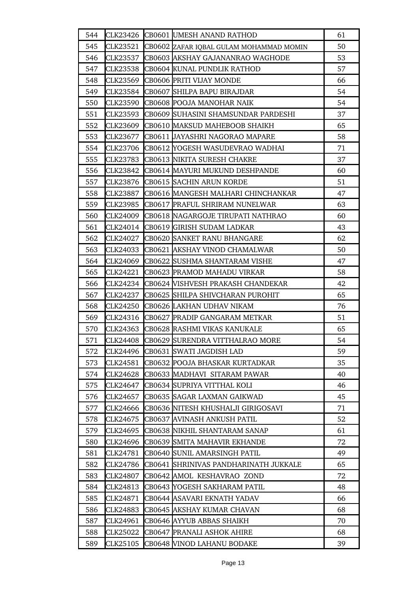| 544 |          | CLK23426 CB0601 UMESH ANAND RATHOD            | 61 |
|-----|----------|-----------------------------------------------|----|
| 545 | CLK23521 | CB0602 ZAFAR IQBAL GULAM MOHAMMAD MOMIN       | 50 |
| 546 | CLK23537 | CB0603 AKSHAY GAJANANRAO WAGHODE              | 53 |
| 547 | CLK23538 | CB0604 KUNAL PUNDLIK RATHOD                   | 57 |
| 548 | CLK23569 | CB0606 PRITI VIJAY MONDE                      | 66 |
| 549 |          | CLK23584 CB0607 SHILPA BAPU BIRAJDAR          | 54 |
| 550 | CLK23590 | CB0608 POOJA MANOHAR NAIK                     | 54 |
| 551 | CLK23593 | CB0609 SUHASINI SHAMSUNDAR PARDESHI           | 37 |
| 552 | CLK23609 | CB0610 MAKSUD MAHEBOOB SHAIKH                 | 65 |
| 553 | CLK23677 | CB0611 JAYASHRI NAGORAO MAPARE                | 58 |
| 554 | CLK23706 | CB0612 YOGESH WASUDEVRAO WADHAI               | 71 |
| 555 | CLK23783 | CB0613 NIKITA SURESH CHAKRE                   | 37 |
| 556 | CLK23842 | CB0614 MAYURI MUKUND DESHPANDE                | 60 |
| 557 |          | CLK23876 CB0615 SACHIN ARUN KORDE             | 51 |
| 558 | CLK23887 | CB0616 MANGESH MALHARI CHINCHANKAR            | 47 |
| 559 | CLK23985 | CB0617 PRAFUL SHRIRAM NUNELWAR                | 63 |
| 560 | CLK24009 | CB0618 NAGARGOJE TIRUPATI NATHRAO             | 60 |
| 561 |          | CLK24014 CB0619 GIRISH SUDAM LADKAR           | 43 |
| 562 | CLK24027 | <b>CB0620 SANKET RANU BHANGARE</b>            | 62 |
| 563 | CLK24033 | CB0621 AKSHAY VINOD CHAMALWAR                 | 50 |
| 564 | CLK24069 | CB0622 SUSHMA SHANTARAM VISHE                 | 47 |
| 565 | CLK24221 | CB0623 PRAMOD MAHADU VIRKAR                   | 58 |
| 566 |          | CLK24234   CB0624 [VISHVESH PRAKASH CHANDEKAR | 42 |
| 567 | CLK24237 | CB0625 SHILPA SHIVCHARAN PUROHIT              | 65 |
| 568 | CLK24250 | CB0626 LAKHAN UDHAV NIKAM                     | 76 |
| 569 |          | CLK24316 CB0627 PRADIP GANGARAM METKAR        | 51 |
| 570 | CLK24363 | CB0628 RASHMI VIKAS KANUKALE                  | 65 |
| 571 |          | CLK24408 CB0629 SURENDRA VITTHALRAO MORE      | 54 |
| 572 | CLK24496 | CB0631 SWATI JAGDISH LAD                      | 59 |
| 573 | CLK24581 | CB0632 POOJA BHASKAR KURTADKAR                | 35 |
| 574 | CLK24628 | CB0633 MADHAVI SITARAM PAWAR                  | 40 |
| 575 | CLK24647 | CB0634  SUPRIYA VITTHAL KOLI                  | 46 |
| 576 | CLK24657 | CB0635 SAGAR LAXMAN GAIKWAD                   | 45 |
| 577 | CLK24666 | CB0636 NITESH KHUSHALJI GIRIGOSAVI            | 71 |
| 578 | CLK24675 | CB0637 AVINASH ANKUSH PATIL                   | 52 |
| 579 | CLK24695 | CB0638 NIKHIL SHANTARAM SANAP                 | 61 |
| 580 | CLK24696 | CB0639 SMITA MAHAVIR EKHANDE                  | 72 |
| 581 | CLK24781 | CB0640 SUNIL AMARSINGH PATIL                  | 49 |
| 582 | CLK24786 | CB0641 SHRINIVAS PANDHARINATH JUKKALE         | 65 |
| 583 | CLK24807 | CB0642 AMOL KESHAVRAO ZOND                    | 72 |
| 584 | CLK24813 | CB0643 YOGESH SAKHARAM PATIL                  | 48 |
| 585 | CLK24871 | CB0644 ASAVARI EKNATH YADAV                   | 66 |
| 586 | CLK24883 | CB0645 AKSHAY KUMAR CHAVAN                    | 68 |
| 587 | CLK24961 | CB0646 AYYUB ABBAS SHAIKH                     | 70 |
| 588 | CLK25022 | CB0647 PRANALI ASHOK AHIRE                    | 68 |
| 589 | CLK25105 | CB0648 VINOD LAHANU BODAKE                    | 39 |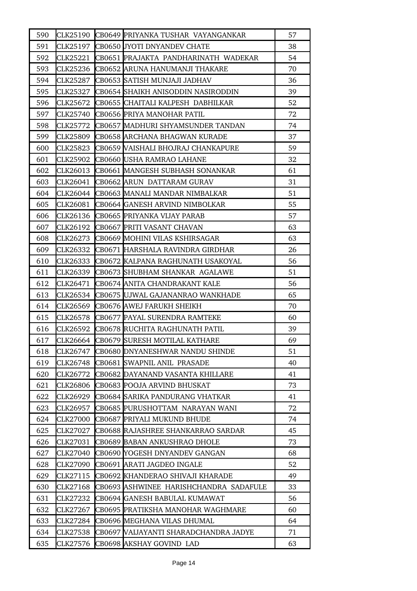| 590 |                 | CLK25190 CB0649 PRIYANKA TUSHAR VAYANGANKAR | 57 |
|-----|-----------------|---------------------------------------------|----|
| 591 |                 | CLK25197 CB0650 JYOTI DNYANDEV CHATE        | 38 |
| 592 | CLK25221        | CB0651 PRAJAKTA PANDHARINATH WADEKAR        | 54 |
| 593 | CLK25236        | CB0652 ARUNA HANUMANJI THAKARE              | 70 |
| 594 | CLK25287        | CB0653 SATISH MUNJAJI JADHAV                | 36 |
| 595 | CLK25327        | CB0654 SHAIKH ANISODDIN NASIRODDIN          | 39 |
| 596 | CLK25672        | CB0655 CHAITALI KALPESH DABHILKAR           | 52 |
| 597 | CLK25740        | CB0656 PRIYA MANOHAR PATIL                  | 72 |
| 598 | CLK25772        | CB0657 MADHURI SHYAMSUNDER TANDAN           | 74 |
| 599 | CLK25809        | CB0658 ARCHANA BHAGWAN KURADE               | 37 |
| 600 | CLK25823        | CB0659 VAISHALI BHOJRAJ CHANKAPURE          | 59 |
| 601 | CLK25902        | CB0660 USHA RAMRAO LAHANE                   | 32 |
| 602 | CLK26013        | CB0661 MANGESH SUBHASH SONANKAR             | 61 |
| 603 | CLK26041        | CB0662 ARUN DATTARAM GURAV                  | 31 |
| 604 |                 | CLK26044 CB0663 MANALI MANDAR NIMBALKAR     | 51 |
| 605 | CLK26081        | CB0664 GANESH ARVIND NIMBOLKAR              | 55 |
| 606 | CLK26136        | CB0665 PRIYANKA VIJAY PARAB                 | 57 |
| 607 | CLK26192        | CB0667 PRITI VASANT CHAVAN                  | 63 |
| 608 | CLK26273        | CB0669 MOHINI VILAS KSHIRSAGAR              | 63 |
| 609 | CLK26332        | CB0671 HARSHALA RAVINDRA GIRDHAR            | 26 |
| 610 | CLK26333        | CB0672 KALPANA RAGHUNATH USAKOYAL           | 56 |
| 611 | CLK26339        | CB0673 SHUBHAM SHANKAR AGALAWE              | 51 |
| 612 | CLK26471        | CB0674 ANITA CHANDRAKANT KALE               | 56 |
| 613 | CLK26534        | CB0675 UJWAL GAJANANRAO WANKHADE            | 65 |
| 614 | CLK26569        | CB0676 AWEJ FARUKH SHEIKH                   | 70 |
| 615 | CLK26578        | CB0677 PAYAL SURENDRA RAMTEKE               | 60 |
| 616 |                 | CLK26592  CB0678  RUCHITA RAGHUNATH PATIL   | 39 |
| 617 |                 | CLK26664 CB0679 SURESH MOTILAL KATHARE      | 69 |
| 618 | CLK26747        | CB0680 DNYANESHWAR NANDU SHINDE             | 51 |
| 619 | CLK26748        | CB0681 SWAPNIL ANIL PRASADE                 | 40 |
| 620 | CLK26772        | CB0682 DAYANAND VASANTA KHILLARE            | 41 |
| 621 | CLK26806        | CB0683 POOJA ARVIND BHUSKAT                 | 73 |
| 622 | CLK26929        | CB0684 SARIKA PANDURANG VHATKAR             | 41 |
| 623 | CLK26957        | CB0685 PURUSHOTTAM NARAYAN WANI             | 72 |
| 624 | <b>CLK27000</b> | CB0687 PRIYALI MUKUND BHUDE                 | 74 |
| 625 | CLK27027        | CB0688 RAJASHREE SHANKARRAO SARDAR          | 45 |
| 626 | CLK27031        | CB0689 BABAN ANKUSHRAO DHOLE                | 73 |
| 627 | CLK27040        | CB0690 YOGESH DNYANDEV GANGAN               | 68 |
| 628 | CLK27090        | CB0691 ARATI JAGDEO INGALE                  | 52 |
| 629 | CLK27115        | CB0692 KHANDERAO SHIVAJI KHARADE            | 49 |
| 630 | CLK27168        | CB0693 ASHWINEE HARISHCHANDRA SADAFULE      | 33 |
| 631 | CLK27232        | CB0694 GANESH BABULAL KUMAWAT               | 56 |
| 632 | CLK27267        | CB0695 PRATIKSHA MANOHAR WAGHMARE           | 60 |
| 633 | CLK27284        | CB0696 MEGHANA VILAS DHUMAL                 | 64 |
| 634 | CLK27538        | CB0697 WAIJAYANTI SHARADCHANDRA JADYE       | 71 |
| 635 | CLK27576        | CB0698 AKSHAY GOVIND LAD                    | 63 |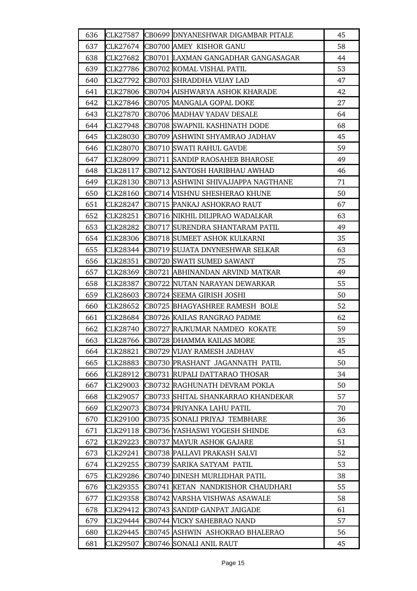| 636 | CLK27587        | CB0699 DNYANESHWAR DIGAMBAR PITALE    | 45 |
|-----|-----------------|---------------------------------------|----|
| 637 | CLK27674        | CB0700 AMEY KISHOR GANU               | 58 |
| 638 | CLK27682        | CB0701 LAXMAN GANGADHAR GANGASAGAR    | 44 |
| 639 | CLK27786        | CB0702 KOMAL VISHAL PATIL             | 53 |
| 640 | CLK27792        | CB0703 SHRADDHA VIJAY LAD             | 47 |
| 641 | CLK27806        | CB0704 AISHWARYA ASHOK KHARADE        | 42 |
| 642 | CLK27846        | CB0705 MANGALA GOPAL DOKE             | 27 |
| 643 | CLK27870        | CB0706 MADHAV YADAV DESALE            | 64 |
| 644 | CLK27948        | CB0708 SWAPNIL KASHINATH DODE         | 68 |
| 645 | CLK28030        | CB0709 ASHWINI SHYAMRAO JADHAV        | 45 |
| 646 | CLK28070        | CB0710 SWATI RAHUL GAVDE              | 59 |
| 647 | <b>CLK28099</b> | <b>CB0711 SANDIP RAOSAHEB BHAROSE</b> | 49 |
| 648 | CLK28117        | CB0712 SANTOSH HARIBHAU AWHAD         | 46 |
| 649 | CLK28130        | CB0713 ASHWINI SHIVAJJAPPA NAGTHANE   | 71 |
| 650 | CLK28160        | CB0714 VISHNU SHESHERAO KHUNE         | 50 |
| 651 | CLK28247        | CB0715 PANKAJ ASHOKRAO RAUT           | 67 |
| 652 | CLK28251        | CB0716 NIKHIL DILIPRAO WADALKAR       | 63 |
| 653 | CLK28282        | CB0717 SURENDRA SHANTARAM PATIL       | 49 |
| 654 | CLK28306        | CB0718 SUMEET ASHOK KULKARNI          | 35 |
| 655 | CLK28344        | CB0719 SUJATA DNYNESHWAR SELKAR       | 63 |
| 656 | CLK28351        | CB0720 SWATI SUMED SAWANT             | 75 |
| 657 | CLK28369        | CB0721 ABHINANDAN ARVIND MATKAR       | 49 |
| 658 | CLK28387        | CB0722 NUTAN NARAYAN DEWARKAR         | 55 |
| 659 | CLK28603        | CB0724 SEEMA GIRISH JOSHI             | 50 |
| 660 | CLK28652        | CB0725 BHAGYASHREE RAMESH BOLE        | 52 |
| 661 | <b>CLK28684</b> | CB0726 KAILAS RANGRAO PADME           | 62 |
| 662 | CLK28740        | CB0727 RAJKUMAR NAMDEO KOKATE         | 59 |
| 663 | CLK28766        | CB0728 DHAMMA KAILAS MORE             | 35 |
| 664 | CLK28821        | CB0729 VIJAY RAMESH JADHAV            | 45 |
| 665 | CLK28883        | CB0730 PRASHANT JAGANNATH PATIL       | 50 |
| 666 | CLK28912        | CB0731 RUPALI DATTARAO THOSAR         | 34 |
| 667 | CLK29003        | CB0732 RAGHUNATH DEVRAM POKLA         | 50 |
| 668 | CLK29057        | CB0733 SHITAL SHANKARRAO KHANDEKAR    | 57 |
| 669 | CLK29073        | CB0734 PRIYANKA LAHU PATIL            | 70 |
| 670 | CLK29100        | CB0735 SONALI PRIYAJ TEMBHARE         | 36 |
| 671 | CLK29118        | CB0736 YASHASWI YOGESH SHINDE         | 63 |
| 672 | CLK29223        | CB0737 MAYUR ASHOK GAJARE             | 51 |
| 673 | CLK29241        | CB0738 PALLAVI PRAKASH SALVI          | 52 |
| 674 | CLK29255        | CB0739 SARIKA SATYAM PATIL            | 53 |
| 675 | CLK29286        | CB0740 DINESH MURLIDHAR PATIL         | 38 |
| 676 | CLK29355        | CB0741 KETAN NANDKISHOR CHAUDHARI     | 55 |
| 677 | CLK29358        | CB0742 VARSHA VISHWAS ASAWALE         | 58 |
| 678 | CLK29412        | CB0743 SANDIP GANPAT JAIGADE          | 61 |
| 679 | CLK29444        | CB0744 VICKY SAHEBRAO NAND            | 57 |
| 680 | CLK29445        | CB0745 ASHWIN ASHOKRAO BHALERAO       | 56 |
| 681 | CLK29507        | CB0746 SONALI ANIL RAUT               | 45 |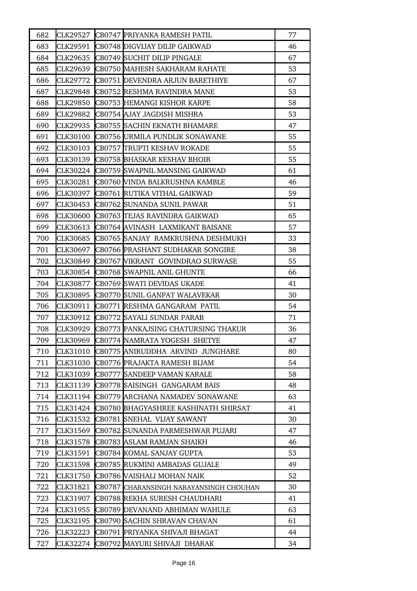| 682 | CLK29527 | CB0747 PRIYANKA RAMESH PATIL            | 77 |
|-----|----------|-----------------------------------------|----|
| 683 | CLK29591 | CB0748 DIGVIJAY DILIP GAIKWAD           | 46 |
| 684 | CLK29635 | CB0749 SUCHIT DILIP PINGALE             | 67 |
| 685 | CLK29639 | CB0750 MAHESH SAKHARAM RAHATE           | 53 |
| 686 | CLK29772 | CB0751 DEVENDRA ARJUN BARETHIYE         | 67 |
| 687 |          | CLK29848 CB0752 RESHMA RAVINDRA MANE    | 53 |
| 688 | CLK29850 | <b>CB0753 HEMANGI KISHOR KARPE</b>      | 58 |
| 689 | CLK29882 | CB0754 AJAY JAGDISH MISHRA              | 53 |
| 690 | CLK29935 | CB0755 SACHIN EKNATH BHAMARE            | 47 |
| 691 | CLK30100 | CB0756 URMILA PUNDLIK SONAWANE          | 55 |
| 692 | CLK30103 | CB0757 TRUPTI KESHAV ROKADE             | 55 |
| 693 | CLK30139 | <b>CB0758 BHASKAR KESHAV BHOIR</b>      | 55 |
| 694 | CLK30224 | CB0759 SWAPNIL MANSING GAIKWAD          | 61 |
| 695 | CLK30281 | CB0760 VINDA BALKRUSHNA KAMBLE          | 46 |
| 696 | CLK30397 | CB0761 RUTIKA VITHAL GAIKWAD            | 59 |
| 697 | CLK30453 | CB0762 SUNANDA SUNIL PAWAR              | 51 |
| 698 | CLK30600 | CB0763 TEJAS RAVINDRA GAIKWAD           | 65 |
| 699 | CLK30613 | CB0764 AVINASH LAXMIKANT BAISANE        | 57 |
| 700 | CLK30685 | CB0765 SANJAY RAMKRUSHNA DESHMUKH       | 33 |
| 701 | CLK30697 | CB0766 PRASHANT SUDHAKAR SONGIRE        | 38 |
| 702 | CLK30849 | CB0767 VIKRANT GOVINDRAO SURWASE        | 55 |
| 703 | CLK30854 | CB0768 SWAPNIL ANIL GHUNTE              | 66 |
| 704 | CLK30877 | CB0769 SWATI DEVIDAS UKADE              | 41 |
| 705 | CLK30895 | CB0770 SUNIL GANPAT WALAVEKAR           | 30 |
| 706 | CLK30911 | CB0771 RESHMA GANGARAM PATIL            | 54 |
| 707 | CLK30912 | CB0772 SAYALI SUNDAR PARAB              | 71 |
| 708 | CLK30929 | CB0773 PANKAJSING CHATURSING THAKUR     | 36 |
| 709 | CLK30969 | CB0774 NAMRATA YOGESH SHETYE            | 47 |
| 710 | CLK31010 | CB0775 ANIRUDDHA ARVIND JUNGHARE        | 80 |
| 711 | CLK31030 | CB0776 PRAJAKTA RAMESH BIJAM            | 54 |
| 712 | CLK31039 | <b>CB0777 SANDEEP VAMAN KARALE</b>      | 58 |
| 713 | CLK31139 | CB0778 SAISINGH GANGARAM BAIS           | 48 |
| 714 | CLK31194 | CB0779 ARCHANA NAMADEV SONAWANE         | 63 |
| 715 | CLK31424 | CB0780 BHAGYASHREE KASHINATH SHIRSAT    | 41 |
| 716 | CLK31532 | CB0781 SNEHAL VIJAY SAWANT              | 30 |
| 717 | CLK31569 | CB0782 SUNANDA PARMESHWAR PUJARI        | 47 |
| 718 | CLK31578 | CB0783 ASLAM RAMJAN SHAIKH              | 46 |
| 719 | CLK31591 | CB0784 KOMAL SANJAY GUPTA               | 53 |
| 720 | CLK31598 | CB0785 RUKMINI AMBADAS GUJALE           | 49 |
| 721 | CLK31750 | CB0786  VAISHALI MOHAN NAIK             | 52 |
| 722 | CLK31821 | CB0787 CHARANSINGH NARAYANSINGH CHOUHAN | 30 |
| 723 | CLK31907 | CB0788 REKHA SURESH CHAUDHARI           | 41 |
| 724 | CLK31955 | CB0789 DEVANAND ABHIMAN WAHULE          | 63 |
| 725 | CLK32195 | CB0790 SACHIN SHRAVAN CHAVAN            | 61 |
| 726 | CLK32223 | CB0791 PRIYANKA SHIVAJI BHAGAT          | 44 |
| 727 | CLK32274 | CB0792 MAYURI SHIVAJI DHARAK            | 34 |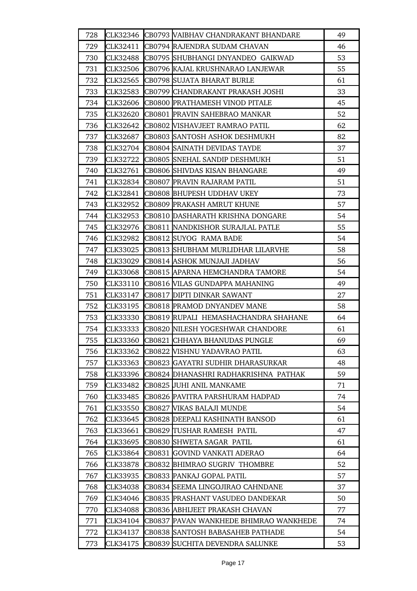| 728 |          | CLK32346 CB0793 VAIBHAV CHANDRAKANT BHANDARE | 49 |
|-----|----------|----------------------------------------------|----|
| 729 | CLK32411 | CB0794 RAJENDRA SUDAM CHAVAN                 | 46 |
| 730 | CLK32488 | CB0795 SHUBHANGI DNYANDEO GAIKWAD            | 53 |
| 731 |          | CLK32506  CB0796  KAJAL KRUSHNARAO LANJEWAR  | 55 |
| 732 | CLK32565 | CB0798 SUJATA BHARAT BURLE                   | 61 |
| 733 | CLK32583 | CB0799 CHANDRAKANT PRAKASH JOSHI             | 33 |
| 734 | CLK32606 | CB0800 PRATHAMESH VINOD PITALE               | 45 |
| 735 | CLK32620 | CB0801 PRAVIN SAHEBRAO MANKAR                | 52 |
| 736 | CLK32642 | CB0802 VISHAVJEET RAMRAO PATIL               | 62 |
| 737 | CLK32687 | CB0803 SANTOSH ASHOK DESHMUKH                | 82 |
| 738 |          | CLK32704 CB0804 SAINATH DEVIDAS TAYDE        | 37 |
| 739 | CLK32722 | CB0805 SNEHAL SANDIP DESHMUKH                | 51 |
| 740 | CLK32761 | CB0806 SHIVDAS KISAN BHANGARE                | 49 |
| 741 |          | CLK32834 CB0807 PRAVIN RAJARAM PATIL         | 51 |
| 742 | CLK32841 | CB0808 BHUPESH UDDHAV UKEY                   | 73 |
| 743 | CLK32952 | <b>CB0809 PRAKASH AMRUT KHUNE</b>            | 57 |
| 744 |          | CLK32953 CB0810 DASHARATH KRISHNA DONGARE    | 54 |
| 745 |          | CLK32976 CB0811 NANDKISHOR SURAJLAL PATLE    | 55 |
| 746 | CLK32982 | CB0812 SUYOG RAMA BADE                       | 54 |
| 747 | CLK33025 | CB0813 SHUBHAM MURLIDHAR LILARVHE            | 58 |
| 748 | CLK33029 | CB0814 ASHOK MUNJAJI JADHAV                  | 56 |
| 749 | CLK33068 | CB0815 APARNA HEMCHANDRA TAMORE              | 54 |
| 750 | CLK33110 | CB0816 WILAS GUNDAPPA MAHANING               | 49 |
| 751 | CLK33147 | CB0817 DIPTI DINKAR SAWANT                   | 27 |
| 752 | CLK33195 | CB0818 PRAMOD DNYANDEV MANE                  | 58 |
| 753 | CLK33330 | CB0819 RUPALI HEMASHACHANDRA SHAHANE         | 64 |
| 754 | CLK33333 | CB0820 NILESH YOGESHWAR CHANDORE             | 61 |
| 755 |          | CLK33360 CB0821 CHHAYA BHANUDAS PUNGLE       | 69 |
| 756 | CLK33362 | <b>CB0822 VISHNU YADAVRAO PATIL</b>          | 63 |
| 757 | CLK33363 | CB0823  GAYATRI SUDHIR DHARASURKAR           | 48 |
| 758 | CLK33396 | ICB0824 IDHANASHRI RADHAKRISHNA PATHAK       | 59 |
| 759 | CLK33482 | CB0825 JUHI ANIL MANKAME                     | 71 |
| 760 | CLK33485 | CB0826 PAVITRA PARSHURAM HADPAD              | 74 |
| 761 | CLK33550 | CB0827 WIKAS BALAJI MUNDE                    | 54 |
| 762 | CLK33645 | CB0828 DEEPALI KASHINATH BANSOD              | 61 |
| 763 | CLK33661 | CB0829  TUSHAR RAMESH PATIL                  | 47 |
| 764 | CLK33695 | CB0830 SHWETA SAGAR PATIL                    | 61 |
| 765 | CLK33864 | CB0831 GOVIND VANKATI ADERAO                 | 64 |
| 766 | CLK33878 | CB0832 BHIMRAO SUGRIV THOMBRE                | 52 |
| 767 | CLK33935 | CB0833  PANKAJ GOPAL PATIL                   | 57 |
| 768 | CLK34038 | CB0834 SEEMA LINGOJIRAO CAHNDANE             | 37 |
| 769 | CLK34046 | CB0835 PRASHANT VASUDEO DANDEKAR             | 50 |
| 770 | CLK34088 | CB0836  ABHIJEET PRAKASH CHAVAN              | 77 |
| 771 | CLK34104 | CB0837 PAVAN WANKHEDE BHIMRAO WANKHEDE       | 74 |
| 772 | CLK34137 | CB0838  SANTOSH BABASAHEB PATHADE            | 54 |
| 773 | CLK34175 | CB0839 SUCHITA DEVENDRA SALUNKE              | 53 |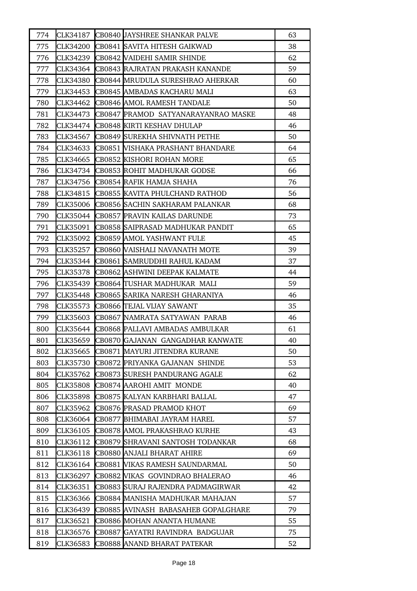| 774 | CLK34187 | CB0840 JAYSHREE SHANKAR PALVE          | 63 |
|-----|----------|----------------------------------------|----|
| 775 | CLK34200 | CB0841 SAVITA HITESH GAIKWAD           | 38 |
| 776 | CLK34239 | CB0842 VAIDEHI SAMIR SHINDE            | 62 |
| 777 | CLK34364 | <b>CB0843 RAJRATAN PRAKASH KANANDE</b> | 59 |
| 778 | CLK34380 | CB0844 MRUDULA SURESHRAO AHERKAR       | 60 |
| 779 | CLK34453 | CB0845 AMBADAS KACHARU MALI            | 63 |
| 780 | CLK34462 | CB0846 AMOL RAMESH TANDALE             | 50 |
| 781 | CLK34473 | CB0847 PRAMOD SATYANARAYANRAO MASKE    | 48 |
| 782 | CLK34474 | CB0848 KIRTI KESHAV DHULAP             | 46 |
| 783 | CLK34567 | CB0849 SUREKHA SHIVNATH PETHE          | 50 |
| 784 | CLK34633 | CB0851 WISHAKA PRASHANT BHANDARE       | 64 |
| 785 | CLK34665 | CB0852 KISHORI ROHAN MORE              | 65 |
| 786 | CLK34734 | CB0853 ROHIT MADHUKAR GODSE            | 66 |
| 787 | CLK34756 | CB0854 RAFIK HAMJA SHAHA               | 76 |
| 788 | CLK34815 | CB0855 KAVITA PHULCHAND RATHOD         | 56 |
| 789 | CLK35006 | CB0856 SACHIN SAKHARAM PALANKAR        | 68 |
| 790 | CLK35044 | CB0857 PRAVIN KAILAS DARUNDE           | 73 |
| 791 | CLK35091 | CB0858 SAIPRASAD MADHUKAR PANDIT       | 65 |
| 792 | CLK35092 | CB0859 AMOL YASHWANT FULE              | 45 |
| 793 | CLK35257 | <b>CB0860 VAISHALI NAVANATH MOTE</b>   | 39 |
| 794 | CLK35344 | CB0861 SAMRUDDHI RAHUL KADAM           | 37 |
| 795 | CLK35378 | CB0862 ASHWINI DEEPAK KALMATE          | 44 |
| 796 | CLK35439 | CB0864 TUSHAR MADHUKAR MALI            | 59 |
| 797 | CLK35448 | CB0865 SARIKA NARESH GHARANIYA         | 46 |
| 798 | CLK35573 | CB0866 TEJAL VIJAY SAWANT              | 35 |
| 799 | CLK35603 | CB0867 NAMRATA SATYAWAN PARAB          | 46 |
| 800 | CLK35644 | CB0868 PALLAVI AMBADAS AMBULKAR        | 61 |
| 801 | CLK35659 | CB0870 GAJANAN GANGADHAR KANWATE       | 40 |
| 802 | CLK35665 | CB0871 MAYURI JITENDRA KURANE          | 50 |
| 803 | CLK35730 | CB0872 PRIYANKA GAJANAN SHINDE         | 53 |
| 804 | CLK35762 | CB0873 SURESH PANDURANG AGALE          | 62 |
| 805 | CLK35808 | CB0874 AAROHI AMIT MONDE               | 40 |
| 806 | CLK35898 | CB0875 KALYAN KARBHARI BALLAL          | 47 |
| 807 | CLK35962 | CB0876 PRASAD PRAMOD KHOT              | 69 |
| 808 | CLK36064 | CB0877 BHIMABAI JAYRAM HAREL           | 57 |
| 809 | CLK36105 | CB0878 AMOL PRAKASHRAO KURHE           | 43 |
| 810 | CLK36112 | CB0879 SHRAVANI SANTOSH TODANKAR       | 68 |
| 811 | CLK36118 | CB0880 ANJALI BHARAT AHIRE             | 69 |
| 812 | CLK36164 | CB0881 VIKAS RAMESH SAUNDARMAL         | 50 |
| 813 | CLK36297 | CB0882 WIKAS GOVINDRAO BHALERAO        | 46 |
| 814 | CLK36351 | CB0883  SURAJ RAJENDRA PADMAGIRWAR     | 42 |
| 815 | CLK36366 | CB0884 MANISHA MADHUKAR MAHAJAN        | 57 |
| 816 | CLK36439 | CB0885 AVINASH BABASAHEB GOPALGHARE    | 79 |
| 817 | CLK36521 | CB0886 MOHAN ANANTA HUMANE             | 55 |
| 818 | CLK36576 | CB0887 GAYATRI RAVINDRA BADGUJAR       | 75 |
| 819 | CLK36583 | CB0888 ANAND BHARAT PATEKAR            | 52 |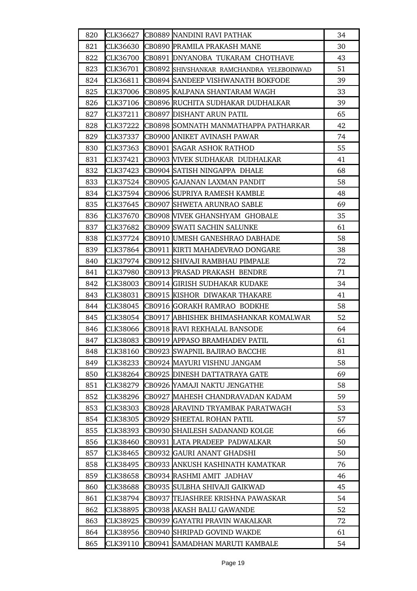| 820 | CLK36627        | CB0889 NANDINI RAVI PATHAK                | 34 |
|-----|-----------------|-------------------------------------------|----|
| 821 | CLK36630        | CB0890 PRAMILA PRAKASH MANE               | 30 |
| 822 | CLK36700        | CB0891 DNYANOBA TUKARAM CHOTHAVE          | 43 |
| 823 | CLK36701        | CB0892 SHIVSHANKAR RAMCHANDRA YELEBOINWAD | 51 |
| 824 | CLK36811        | CB0894 SANDEEP VISHWANATH BOKFODE         | 39 |
| 825 | <b>CLK37006</b> | CB0895 KALPANA SHANTARAM WAGH             | 33 |
| 826 | CLK37106        | CB0896 RUCHITA SUDHAKAR DUDHALKAR         | 39 |
| 827 | CLK37211        | <b>CB0897 DISHANT ARUN PATIL</b>          | 65 |
| 828 | CLK37222        | CB0898 SOMNATH MANMATHAPPA PATHARKAR      | 42 |
| 829 | CLK37337        | CB0900 ANIKET AVINASH PAWAR               | 74 |
| 830 | CLK37363        | <b>CB0901 SAGAR ASHOK RATHOD</b>          | 55 |
| 831 | CLK37421        | CB0903 WIVEK SUDHAKAR DUDHALKAR           | 41 |
| 832 | CLK37423        | CB0904 SATISH NINGAPPA DHALE              | 68 |
| 833 | CLK37524        | CB0905 GAJANAN LAXMAN PANDIT              | 58 |
| 834 | CLK37594        | CB0906 SUPRIYA RAMESH KAMBLE              | 48 |
| 835 | CLK37645        | CB0907 SHWETA ARUNRAO SABLE               | 69 |
| 836 | CLK37670        | CB0908 NIVEK GHANSHYAM GHOBALE            | 35 |
| 837 | CLK37682        | CB0909 SWATI SACHIN SALUNKE               | 61 |
| 838 |                 | CLK37724 CB0910 UMESH GANESHRAO DABHADE   | 58 |
| 839 | CLK37864        | CB0911 KIRTI MAHADEVRAO DONGARE           | 38 |
| 840 | CLK37974        | CB0912 SHIVAJI RAMBHAU PIMPALE            | 72 |
| 841 | CLK37980        | CB0913 PRASAD PRAKASH BENDRE              | 71 |
| 842 | CLK38003        | CB0914 GIRISH SUDHAKAR KUDAKE             | 34 |
| 843 | CLK38031        | CB0915 KISHOR DIWAKAR THAKARE             | 41 |
| 844 | CLK38045        | CB0916 GORAKH RAMRAO BODKHE               | 58 |
| 845 | CLK38054        | CB0917 ABHISHEK BHIMASHANKAR KOMALWAR     | 52 |
| 846 |                 | CLK38066 CB0918 RAVI REKHALAL BANSODE     | 64 |
| 847 | <b>CLK38083</b> | CB0919 APPASO BRAMHADEV PATIL             | 61 |
| 848 | CLK38160        | CB0923 SWAPNIL BAJIRAO BACCHE             | 81 |
| 849 | CLK38233        | CB0924 MAYURI VISHNU JANGAM               | 58 |
| 850 | CLK38264        | CB0925 DINESH DATTATRAYA GATE             | 69 |
| 851 | CLK38279        | CB0926 YAMAJI NAKTU JENGATHE              | 58 |
| 852 | CLK38296        | CB0927 MAHESH CHANDRAVADAN KADAM          | 59 |
| 853 | <b>CLK38303</b> | CB0928 ARAVIND TRYAMBAK PARATWAGH         | 53 |
| 854 | <b>CLK38305</b> | CB0929 SHEETAL ROHAN PATIL                | 57 |
| 855 | CLK38393        | CB0930 SHAILESH SADANAND KOLGE            | 66 |
| 856 | CLK38460        | CB0931 LATA PRADEEP PADWALKAR             | 50 |
| 857 | CLK38465        | CB0932 GAURI ANANT GHADSHI                | 50 |
| 858 | CLK38495        | CB0933 ANKUSH KASHINATH KAMATKAR          | 76 |
| 859 | CLK38658        | CB0934 RASHMI AMIT JADHAV                 | 46 |
| 860 | CLK38688        | CB0935 SULBHA SHIVAJI GAIKWAD             | 45 |
| 861 | CLK38794        | CB0937 TEJASHREE KRISHNA PAWASKAR         | 54 |
| 862 | CLK38895        | CB0938 AKASH BALU GAWANDE                 | 52 |
| 863 | CLK38925        | CB0939 GAYATRI PRAVIN WAKALKAR            | 72 |
| 864 | CLK38956        | CB0940 SHRIPAD GOVIND WAKDE               | 61 |
| 865 | CLK39110        | CB0941 SAMADHAN MARUTI KAMBALE            | 54 |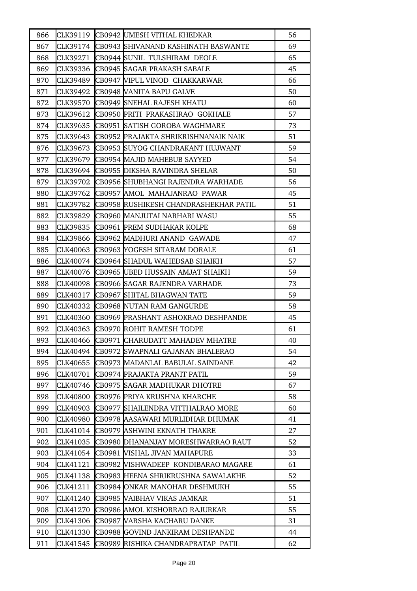| 866 |          | CLK39119 CB0942 UMESH VITHAL KHEDKAR  | 56 |
|-----|----------|---------------------------------------|----|
| 867 | CLK39174 | CB0943 SHIVANAND KASHINATH BASWANTE   | 69 |
| 868 | CLK39271 | CB0944 SUNIL TULSHIRAM DEOLE          | 65 |
| 869 | CLK39336 | <b>CB0945 SAGAR PRAKASH SABALE</b>    | 45 |
| 870 | CLK39489 | CB0947 VIPUL VINOD CHAKKARWAR         | 66 |
| 871 | CLK39492 | CB0948 VANITA BAPU GALVE              | 50 |
| 872 | CLK39570 | CB0949 SNEHAL RAJESH KHATU            | 60 |
| 873 | CLK39612 | CB0950 PRITI PRAKASHRAO GOKHALE       | 57 |
| 874 | CLK39635 | CB0951 SATISH GOROBA WAGHMARE         | 73 |
| 875 | CLK39643 | CB0952 PRAJAKTA SHRIKRISHNANAIK NAIK  | 51 |
| 876 | CLK39673 | CB0953 SUYOG CHANDRAKANT HUJWANT      | 59 |
| 877 | CLK39679 | CB0954 MAJID MAHEBUB SAYYED           | 54 |
| 878 | CLK39694 | CB0955 DIKSHA RAVINDRA SHELAR         | 50 |
| 879 | CLK39702 | CB0956 SHUBHANGI RAJENDRA WARHADE     | 56 |
| 880 | CLK39762 | CB0957 AMOL MAHAJANRAO PAWAR          | 45 |
| 881 | CLK39782 | CB0958 RUSHIKESH CHANDRASHEKHAR PATIL | 51 |
| 882 | CLK39829 | CB0960 MANJUTAI NARHARI WASU          | 55 |
| 883 | CLK39835 | CB0961 PREM SUDHAKAR KOLPE            | 68 |
| 884 | CLK39866 | CB0962 MADHURI ANAND GAWADE           | 47 |
| 885 | CLK40063 | CB0963 YOGESH SITARAM DORALE          | 61 |
| 886 | CLK40074 | CB0964 SHADUL WAHEDSAB SHAIKH         | 57 |
| 887 | CLK40076 | CB0965 UBED HUSSAIN AMJAT SHAIKH      | 59 |
| 888 | CLK40098 | CB0966 SAGAR RAJENDRA VARHADE         | 73 |
| 889 | CLK40317 | CB0967 SHITAL BHAGWAN TATE            | 59 |
| 890 | CLK40332 | CB0968 NUTAN RAM GANGURDE             | 58 |
| 891 | CLK40360 | CB0969 PRASHANT ASHOKRAO DESHPANDE    | 45 |
| 892 | CLK40363 | CB0970 ROHIT RAMESH TODPE             | 61 |
| 893 | CLK40466 | CB0971 CHARUDATT MAHADEV MHATRE       | 40 |
| 894 | CLK40494 | CB0972 SWAPNALI GAJANAN BHALERAO      | 54 |
| 895 | CLK40655 | CB0973 MADANLAL BABULAL SAINDANE      | 42 |
| 896 | CLK40701 | CB0974  PRAJAKTA PRANIT PATIL         | 59 |
| 897 | CLK40746 | CB0975 SAGAR MADHUKAR DHOTRE          | 67 |
| 898 | CLK40800 | CB0976 PRIYA KRUSHNA KHARCHE          | 58 |
| 899 | CLK40903 | CB0977 SHAILENDRA VITTHALRAO MORE     | 60 |
| 900 | CLK40980 | CB0978 AASAWARI MURLIDHAR DHUMAK      | 41 |
| 901 | CLK41014 | CB0979 ASHWINI EKNATH THAKRE          | 27 |
| 902 | CLK41035 | CB0980 DHANANJAY MORESHWARRAO RAUT    | 52 |
| 903 | CLK41054 | CB0981 VISHAL JIVAN MAHAPURE          | 33 |
| 904 | CLK41121 | CB0982 VISHWADEEP KONDIBARAO MAGARE   | 61 |
| 905 | CLK41138 | CB0983 HEENA SHRIKRUSHNA SAWALAKHE    | 52 |
| 906 | CLK41211 | CB0984 ONKAR MANOHAR DESHMUKH         | 55 |
| 907 | CLK41240 | CB0985 VAIBHAV VIKAS JAMKAR           | 51 |
| 908 | CLK41270 | CB0986 AMOL KISHORRAO RAJURKAR        | 55 |
| 909 | CLK41306 | CB0987 VARSHA KACHARU DANKE           | 31 |
| 910 | CLK41330 | CB0988 GOVIND JANKIRAM DESHPANDE      | 44 |
| 911 | CLK41545 | CB0989 RISHIKA CHANDRAPRATAP PATIL    | 62 |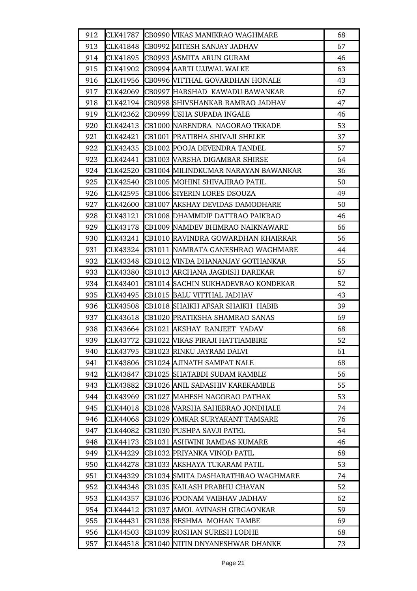| 912 | CLK41787 | CB0990 VIKAS MANIKRAO WAGHMARE         | 68 |
|-----|----------|----------------------------------------|----|
| 913 | CLK41848 | CB0992 MITESH SANJAY JADHAV            | 67 |
| 914 | CLK41895 | CB0993 ASMITA ARUN GURAM               | 46 |
| 915 | CLK41902 | CB0994 AARTI UJJWAL WALKE              | 63 |
| 916 | CLK41956 | CB0996 WITTHAL GOVARDHAN HONALE        | 43 |
| 917 | CLK42069 | CB0997 HARSHAD KAWADU BAWANKAR         | 67 |
| 918 | CLK42194 | CB0998 SHIVSHANKAR RAMRAO JADHAV       | 47 |
| 919 | CLK42362 | CB0999 USHA SUPADA INGALE              | 46 |
| 920 | CLK42413 | CB1000 NARENDRA NAGORAO TEKADE         | 53 |
| 921 | CLK42421 | CB1001 PRATIBHA SHIVAJI SHELKE         | 37 |
| 922 | CLK42435 | CB1002 POOJA DEVENDRA TANDEL           | 57 |
| 923 | CLK42441 | CB1003 VARSHA DIGAMBAR SHIRSE          | 64 |
| 924 | CLK42520 | CB1004 MILINDKUMAR NARAYAN BAWANKAR    | 36 |
| 925 | CLK42540 | CB1005 MOHINI SHIVAJIRAO PATIL         | 50 |
| 926 | CLK42595 | CB1006 SIYERIN LORES DSOUZA            | 49 |
| 927 | CLK42600 | CB1007 AKSHAY DEVIDAS DAMODHARE        | 50 |
| 928 | CLK43121 | CB1008 DHAMMDIP DATTRAO PAIKRAO        | 46 |
| 929 | CLK43178 | CB1009 NAMDEV BHIMRAO NAIKNAWARE       | 66 |
| 930 | CLK43241 | CB1010 RAVINDRA GOWARDHAN KHAIRKAR     | 56 |
| 931 | CLK43324 | CB1011 NAMRATA GANESHRAO WAGHMARE      | 44 |
| 932 | CLK43348 | CB1012 WINDA DHANANJAY GOTHANKAR       | 55 |
| 933 | CLK43380 | CB1013 ARCHANA JAGDISH DAREKAR         | 67 |
| 934 | CLK43401 | CB1014 SACHIN SUKHADEVRAO KONDEKAR     | 52 |
| 935 | CLK43495 | CB1015 BALU VITTHAL JADHAV             | 43 |
| 936 | CLK43508 | CB1018 SHAIKH AFSAR SHAIKH HABIB       | 39 |
| 937 | CLK43618 | CB1020 PRATIKSHA SHAMRAO SANAS         | 69 |
| 938 |          | CLK43664 CB1021 AKSHAY RANJEET YADAV   | 68 |
| 939 | CLK43772 | <b>CB1022 VIKAS PIRAJI HATTIAMBIRE</b> | 52 |
| 940 | CLK43795 | CB1023 RINKU JAYRAM DALVI              | 61 |
| 941 | CLK43806 | CB1024 AJINATH SAMPAT NALE             | 68 |
| 942 | CLK43847 | CB1025 SHATABDI SUDAM KAMBLE           | 56 |
| 943 | CLK43882 | CB1026 ANIL SADASHIV KAREKAMBLE        | 55 |
| 944 | CLK43969 | CB1027 MAHESH NAGORAO PATHAK           | 53 |
| 945 | CLK44018 | CB1028 VARSHA SAHEBRAO JONDHALE        | 74 |
| 946 | CLK44068 | CB1029 OMKAR SURYAKANT TAMSARE         | 76 |
| 947 | CLK44082 | CB1030 PUSHPA SAVJI PATEL              | 54 |
| 948 | CLK44173 | CB1031 ASHWINI RAMDAS KUMARE           | 46 |
| 949 | CLK44229 | CB1032 PRIYANKA VINOD PATIL            | 68 |
| 950 | CLK44278 | CB1033 AKSHAYA TUKARAM PATIL           | 53 |
| 951 | CLK44329 | CB1034 SMITA DASHARATHRAO WAGHMARE     | 74 |
| 952 | CLK44348 | CB1035  KAILASH PRABHU CHAVAN          | 52 |
| 953 | CLK44357 | CB1036 POONAM VAIBHAV JADHAV           | 62 |
| 954 | CLK44412 | CB1037 AMOL AVINASH GIRGAONKAR         | 59 |
| 955 | CLK44431 | CB1038 RESHMA MOHAN TAMBE              | 69 |
| 956 | CLK44503 | CB1039 ROSHAN SURESH LODHE             | 68 |
| 957 | CLK44518 | CB1040 NITIN DNYANESHWAR DHANKE        | 73 |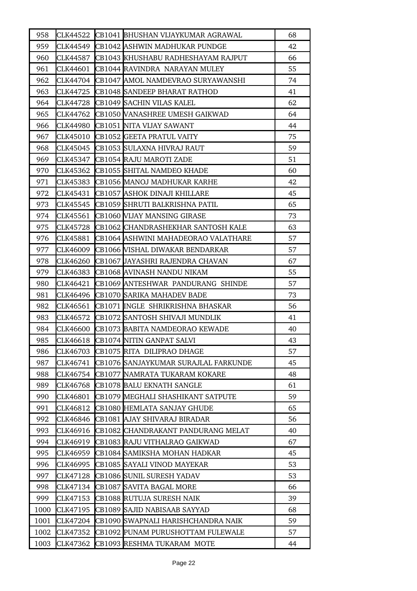| 958  | CLK44522 | CB1041 BHUSHAN VIJAYKUMAR AGRAWAL    | 68 |
|------|----------|--------------------------------------|----|
| 959  | CLK44549 | CB1042 ASHWIN MADHUKAR PUNDGE        | 42 |
| 960  | CLK44587 | CB1043 KHUSHABU RADHESHAYAM RAJPUT   | 66 |
| 961  | CLK44601 | CB1044 RAVINDRA NARAYAN MULEY        | 55 |
| 962  | CLK44704 | CB1047 AMOL NAMDEVRAO SURYAWANSHI    | 74 |
| 963  | CLK44725 | CB1048 SANDEEP BHARAT RATHOD         | 41 |
| 964  | CLK44728 | CB1049 SACHIN VILAS KALEL            | 62 |
| 965  | CLK44762 | CB1050 VANASHREE UMESH GAIKWAD       | 64 |
| 966  | CLK44980 | CB1051 NITA VIJAY SAWANT             | 44 |
| 967  | CLK45010 | CB1052 GEETA PRATUL VAITY            | 75 |
| 968  | CLK45045 | CB1053 SULAXNA HIVRAJ RAUT           | 59 |
| 969  | CLK45347 | CB1054 RAJU MAROTI ZADE              | 51 |
| 970  | CLK45362 | CB1055 SHITAL NAMDEO KHADE           | 60 |
| 971  | CLK45383 | CB1056 MANOJ MADHUKAR KARHE          | 42 |
| 972  | CLK45431 | CB1057  ASHOK DINAJI KHILLARE        | 45 |
| 973  | CLK45545 | CB1059 SHRUTI BALKRISHNA PATIL       | 65 |
| 974  | CLK45561 | CB1060 VIJAY MANSING GIRASE          | 73 |
| 975  | CLK45728 | ICB1062 ICHANDRASHEKHAR SANTOSH KALE | 63 |
| 976  | CLK45881 | CB1064 ASHWINI MAHADEORAO VALATHARE  | 57 |
| 977  | CLK46009 | CB1066 WISHAL DIWAKAR BENDARKAR      | 57 |
| 978  | CLK46260 | CB1067 JAYASHRI RAJENDRA CHAVAN      | 67 |
| 979  | CLK46383 | CB1068 AVINASH NANDU NIKAM           | 55 |
| 980  | CLK46421 | CB1069 ANTESHWAR PANDURANG SHINDE    | 57 |
| 981  | CLK46496 | CB1070 SARIKA MAHADEV BADE           | 73 |
| 982  | CLK46561 | CB1071 INGLE SHRIKRISHNA BHASKAR     | 56 |
| 983  | CLK46572 | CB1072 SANTOSH SHIVAJI MUNDLIK       | 41 |
| 984  | CLK46600 | CB1073 BABITA NAMDEORAO KEWADE       | 40 |
| 985  | CLK46618 | CB1074 NITIN GANPAT SALVI            | 43 |
| 986  | CLK46703 | CB1075 RITA DILIPRAO DHAGE           | 57 |
| 987  | CLK46741 | CB1076 SANJAYKUMAR SURAJLAL FARKUNDE | 45 |
| 988  | CLK46754 | CB1077  NAMRATA TUKARAM KOKARE       | 48 |
| 989  | CLK46768 | CB1078 BALU EKNATH SANGLE            | 61 |
| 990  | CLK46801 | CB1079 MEGHALI SHASHIKANT SATPUTE    | 59 |
| 991  | CLK46812 | CB1080 HEMLATA SANJAY GHUDE          | 65 |
| 992  | CLK46846 | CB1081  AJAY SHIVARAJ BIRADAR        | 56 |
| 993  | CLK46916 | CB1082 CHANDRAKANT PANDURANG MELAT   | 40 |
| 994  | CLK46919 | CB1083 RAJU VITHALRAO GAIKWAD        | 67 |
| 995  | CLK46959 | CB1084 SAMIKSHA MOHAN HADKAR         | 45 |
| 996  | CLK46995 | CB1085 SAYALI VINOD MAYEKAR          | 53 |
| 997  | CLK47128 | CB1086 SUNIL SURESH YADAV            | 53 |
| 998  | CLK47134 | CB1087 SAVITA BAGAL MORE             | 66 |
| 999  | CLK47153 | CB1088 RUTUJA SURESH NAIK            | 39 |
| 1000 | CLK47195 | CB1089 SAJID NABISAAB SAYYAD         | 68 |
| 1001 | CLK47204 | CB1090  SWAPNALI HARISHCHANDRA NAIK  | 59 |
| 1002 | CLK47352 | CB1092 PUNAM PURUSHOTTAM FULEWALE    | 57 |
| 1003 | CLK47362 | CB1093 RESHMA TUKARAM MOTE           | 44 |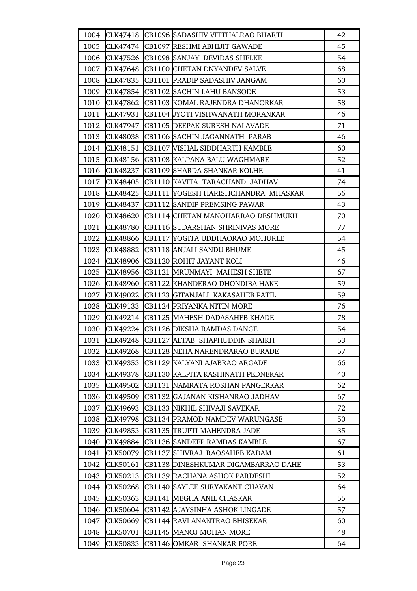| 1004 |                 | CLK47418 CB1096 SADASHIV VITTHALRAO BHARTI | 42 |
|------|-----------------|--------------------------------------------|----|
| 1005 |                 | CLK47474 CB1097 RESHMI ABHIJIT GAWADE      | 45 |
| 1006 | CLK47526        | CB1098 SANJAY DEVIDAS SHELKE               | 54 |
| 1007 | CLK47648        | CB1100 CHETAN DNYANDEV SALVE               | 68 |
| 1008 | CLK47835        | CB1101 PRADIP SADASHIV JANGAM              | 60 |
|      |                 | 1009 CLK47854 CB1102 SACHIN LAHU BANSODE   | 53 |
| 1010 | CLK47862        | CB1103 KOMAL RAJENDRA DHANORKAR            | 58 |
| 1011 | CLK47931        | CB1104 JYOTI VISHWANATH MORANKAR           | 46 |
| 1012 | CLK47947        | CB1105 DEEPAK SURESH NALAVADE              | 71 |
| 1013 | <b>CLK48038</b> | CB1106 SACHIN JAGANNATH PARAB              | 46 |
|      | 1014 CLK48151   | CB1107 VISHAL SIDDHARTH KAMBLE             | 60 |
| 1015 | CLK48156        | CB1108 KALPANA BALU WAGHMARE               | 52 |
| 1016 | CLK48237        | CB1109 SHARDA SHANKAR KOLHE                | 41 |
| 1017 | CLK48405        | CB1110 KAVITA TARACHAND JADHAV             | 74 |
| 1018 | CLK48425        | CB1111 YOGESH HARISHCHANDRA MHASKAR        | 56 |
|      | 1019 CLK48437   | CB1112 SANDIP PREMSING PAWAR               | 43 |
| 1020 | <b>CLK48620</b> | CB1114 CHETAN MANOHARRAO DESHMUKH          | 70 |
| 1021 | <b>CLK48780</b> | CB1116 SUDARSHAN SHRINIVAS MORE            | 77 |
| 1022 | CLK48866        | CB1117 YOGITA UDDHAORAO MOHURLE            | 54 |
| 1023 | <b>CLK48882</b> | CB1118 ANJALI SANDU BHUME                  | 45 |
| 1024 | CLK48906        | CB1120 ROHIT JAYANT KOLI                   | 46 |
| 1025 | CLK48956        | CB1121 MRUNMAYI MAHESH SHETE               | 67 |
| 1026 | CLK48960        | CB1122 KHANDERAO DHONDIBA HAKE             | 59 |
| 1027 | CLK49022        | CB1123 GITANJALI KAKASAHEB PATIL           | 59 |
| 1028 | CLK49133        | CB1124 PRIYANKA NITIN MORE                 | 76 |
| 1029 |                 | CLK49214 CB1125 MAHESH DADASAHEB KHADE     | 78 |
|      |                 | 1030 CLK49224 CB1126 DIKSHA RAMDAS DANGE   | 54 |
| 1031 | <b>CLK49248</b> | CB1127 ALTAB SHAPHUDDIN SHAIKH             | 53 |
| 1032 | CLK49268        | CB1128 NEHA NARENDRARAO BURADE             | 57 |
| 1033 | CLK49353        | CB1129 KALYANI AJABRAO ARGADE              | 66 |
| 1034 | CLK49378        | CB1130 KALPITA KASHINATH PEDNEKAR          | 40 |
| 1035 | CLK49502        | CB1131 NAMRATA ROSHAN PANGERKAR            | 62 |
| 1036 | CLK49509        | CB1132 GAJANAN KISHANRAO JADHAV            | 67 |
| 1037 | CLK49693        | CB1133 NIKHIL SHIVAJI SAVEKAR              | 72 |
| 1038 | CLK49798        | CB1134 PRAMOD NAMDEV WARUNGASE             | 50 |
| 1039 | CLK49853        | CB1135 TRUPTI MAHENDRA JADE                | 35 |
| 1040 | <b>CLK49884</b> | CB1136 SANDEEP RAMDAS KAMBLE               | 67 |
| 1041 | <b>CLK50079</b> | CB1137 SHIVRAJ RAOSAHEB KADAM              | 61 |
| 1042 | CLK50161        | CB1138 DINESHKUMAR DIGAMBARRAO DAHE        | 53 |
| 1043 | CLK50213        | CB1139 RACHANA ASHOK PARDESHI              | 52 |
| 1044 | <b>CLK50268</b> | CB1140 SAYLEE SURYAKANT CHAVAN             | 64 |
| 1045 | CLK50363        | CB1141 MEGHA ANIL CHASKAR                  | 55 |
| 1046 | <b>CLK50604</b> | CB1142 AJAYSINHA ASHOK LINGADE             | 57 |
| 1047 | CLK50669        | CB1144 RAVI ANANTRAO BHISEKAR              | 60 |
| 1048 | CLK50701        | CB1145 MANOJ MOHAN MORE                    | 48 |
| 1049 | <b>CLK50833</b> | CB1146 OMKAR SHANKAR PORE                  | 64 |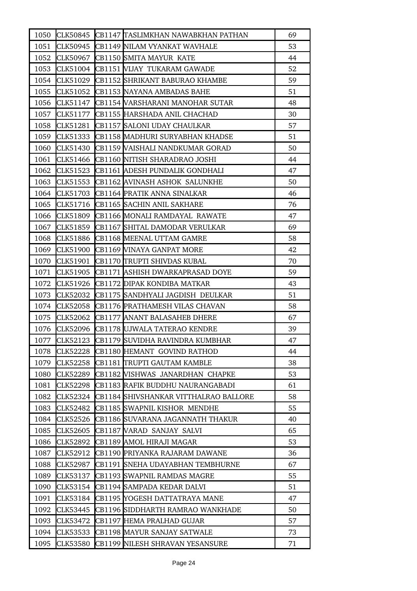| 1050 |                 | CLK50845 CB1147 TASLIMKHAN NAWABKHAN PATHAN | 69 |
|------|-----------------|---------------------------------------------|----|
| 1051 | CLK50945        | CB1149 NILAM VYANKAT WAVHALE                | 53 |
| 1052 | CLK50967        | CB1150 SMITA MAYUR KATE                     | 44 |
| 1053 |                 | CLK51004 CB1151 VIJAY TUKARAM GAWADE        | 52 |
| 1054 |                 | CLK51029 CB1152 SHRIKANT BABURAO KHAMBE     | 59 |
| 1055 |                 | CLK51052 CB1153 NAYANA AMBADAS BAHE         | 51 |
| 1056 | CLK51147        | CB1154 VARSHARANI MANOHAR SUTAR             | 48 |
| 1057 |                 | CLK51177 CB1155 HARSHADA ANIL CHACHAD       | 30 |
| 1058 | CLK51281        | CB1157 SALONI UDAY CHAULKAR                 | 57 |
| 1059 | CLK51333        | CB1158 MADHURI SURYABHAN KHADSE             | 51 |
| 1060 | CLK51430        | CB1159 VAISHALI NANDKUMAR GORAD             | 50 |
| 1061 | CLK51466        | CB1160 NITISH SHARADRAO JOSHI               | 44 |
| 1062 | CLK51523        | CB1161 ADESH PUNDALIK GONDHALI              | 47 |
| 1063 |                 | CLK51553 CB1162 AVINASH ASHOK SALUNKHE      | 50 |
| 1064 | CLK51703        | CB1164 PRATIK ANNA SINALKAR                 | 46 |
| 1065 |                 | CLK51716 CB1165 SACHIN ANIL SAKHARE         | 76 |
| 1066 | CLK51809        | CB1166 MONALI RAMDAYAL RAWATE               | 47 |
| 1067 | CLK51859        | CB1167 SHITAL DAMODAR VERULKAR              | 69 |
| 1068 | CLK51886        | CB1168 MEENAL UTTAM GAMRE                   | 58 |
| 1069 | CLK51900        | CB1169 VINAYA GANPAT MORE                   | 42 |
| 1070 | CLK51901        | CB1170 TRUPTI SHIVDAS KUBAL                 | 70 |
| 1071 |                 | CLK51905 CB1171 ASHISH DWARKAPRASAD DOYE    | 59 |
| 1072 | CLK51926        | CB1172 DIPAK KONDIBA MATKAR                 | 43 |
| 1073 | CLK52032        | CB1175 SANDHYALI JAGDISH DEULKAR            | 51 |
| 1074 | <b>CLK52058</b> | CB1176 PRATHAMESH VILAS CHAVAN              | 58 |
| 1075 | CLK52062        | CB1177 ANANT BALASAHEB DHERE                | 67 |
| 1076 |                 | CLK52096 CB1178 UJWALA TATERAO KENDRE       | 39 |
| 1077 |                 | CLK52123 CB1179 SUVIDHA RAVINDRA KUMBHAR    | 47 |
| 1078 | CLK52228        | CB1180 HEMANT GOVIND RATHOD                 | 44 |
| 1079 | <b>CLK52258</b> | CB1181 TRUPTI GAUTAM KAMBLE                 | 38 |
| 1080 | CLK52289        | CB1182 WISHWAS JANARDHAN CHAPKE             | 53 |
| 1081 | CLK52298        | CB1183  RAFIK BUDDHU NAURANGABADI           | 61 |
| 1082 | CLK52324        | CB1184 SHIVSHANKAR VITTHALRAO BALLORE       | 58 |
| 1083 | CLK52482        | CB1185 SWAPNIL KISHOR MENDHE                | 55 |
| 1084 | CLK52526        | CB1186 SUVARANA JAGANNATH THAKUR            | 40 |
| 1085 | CLK52605        | CB1187 WARAD SANJAY SALVI                   | 65 |
| 1086 | CLK52892        | CB1189 AMOL HIRAJI MAGAR                    | 53 |
| 1087 | CLK52912        | CB1190 PRIYANKA RAJARAM DAWANE              | 36 |
| 1088 | CLK52987        | CB1191 SNEHA UDAYABHAN TEMBHURNE            | 67 |
| 1089 | CLK53137        | CB1193 SWAPNIL RAMDAS MAGRE                 | 55 |
| 1090 | CLK53154        | CB1194 SAMPADA KEDAR DALVI                  | 51 |
| 1091 | CLK53184        | CB1195 YOGESH DATTATRAYA MANE               | 47 |
| 1092 | CLK53445        | CB1196 SIDDHARTH RAMRAO WANKHADE            | 50 |
| 1093 | CLK53472        | CB1197 HEMA PRALHAD GUJAR                   | 57 |
| 1094 | CLK53533        | CB1198 MAYUR SANJAY SATWALE                 | 73 |
| 1095 | CLK53580        | CB1199 NILESH SHRAVAN YESANSURE             | 71 |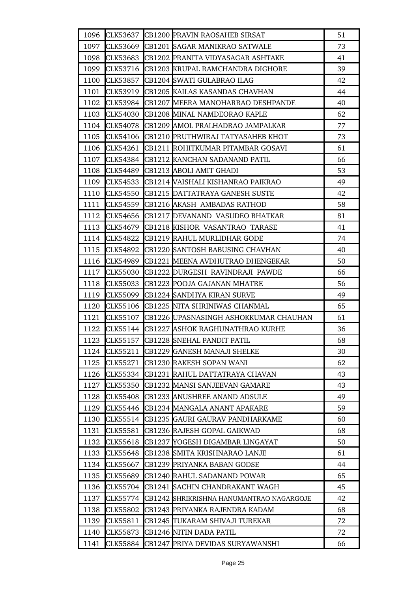| 1096 | CLK53637        | CB1200 PRAVIN RAOSAHEB SIRSAT            | 51 |
|------|-----------------|------------------------------------------|----|
| 1097 | CLK53669        | CB1201 SAGAR MANIKRAO SATWALE            | 73 |
| 1098 | CLK53683        | CB1202 PRANITA VIDYASAGAR ASHTAKE        | 41 |
| 1099 | CLK53716        | CB1203 KRUPAL RAMCHANDRA DIGHORE         | 39 |
| 1100 | <b>CLK53857</b> | CB1204 SWATI GULABRAO ILAG               | 42 |
| 1101 | <b>CLK53919</b> | CB1205 KAILAS KASANDAS CHAVHAN           | 44 |
| 1102 | <b>CLK53984</b> | CB1207 MEERA MANOHARRAO DESHPANDE        | 40 |
| 1103 | CLK54030        | CB1208 MINAL NAMDEORAO KAPLE             | 62 |
| 1104 | <b>CLK54078</b> | CB1209 AMOL PRALHADRAO JAMPALKAR         | 77 |
| 1105 | CLK54106        | CB1210 PRUTHWIRAJ TATYASAHEB KHOT        | 73 |
| 1106 | CLK54261        | CB1211 ROHITKUMAR PITAMBAR GOSAVI        | 61 |
| 1107 | CLK54384        | CB1212 KANCHAN SADANAND PATIL            | 66 |
| 1108 | <b>CLK54489</b> | CB1213 ABOLI AMIT GHADI                  | 53 |
| 1109 | CLK54533        | <b>CB1214 VAISHALI KISHANRAO PAIKRAO</b> | 49 |
| 1110 | <b>CLK54550</b> | CB1215 DATTATRAYA GANESH SUSTE           | 42 |
| 1111 | CLK54559        | CB1216 AKASH AMBADAS RATHOD              | 58 |
| 1112 | CLK54656        | CB1217 DEVANAND VASUDEO BHATKAR          | 81 |
| 1113 | CLK54679        | CB1218 KISHOR VASANTRAO TARASE           | 41 |
| 1114 | CLK54822        | CB1219 RAHUL MURLIDHAR GODE              | 74 |
| 1115 | CLK54892        | CB1220 SANTOSH BABUSING CHAVHAN          | 40 |
| 1116 | CLK54989        | CB1221 MEENA AVDHUTRAO DHENGEKAR         | 50 |
| 1117 | <b>CLK55030</b> | CB1222 DURGESH RAVINDRAJI PAWDE          | 66 |
| 1118 | <b>CLK55033</b> | CB1223 POOJA GAJANAN MHATRE              | 56 |
| 1119 | CLK55099        | CB1224 SANDHYA KIRAN SURVE               | 49 |
| 1120 | <b>CLK55106</b> | CB1225 NITA SHRINIWAS CHANMAL            | 65 |
| 1121 | <b>CLK55107</b> | CB1226 UPASNASINGH ASHOKKUMAR CHAUHAN    | 61 |
| 1122 |                 | CLK55144 CB1227 ASHOK RAGHUNATHRAO KURHE | 36 |
| 1123 | CLK55157        | <b>CB1228 SNEHAL PANDIT PATIL</b>        | 68 |
| 1124 | CLK55211        | CB1229 GANESH MANAJI SHELKE              | 30 |
| 1125 | CLK55271        | CB1230 RAKESH SOPAN WANI                 | 62 |
| 1126 | CLK55334        | CB1231 RAHUL DATTATRAYA CHAVAN           | 43 |
| 1127 | CLK55350        | CB1232 MANSI SANJEEVAN GAMARE            | 43 |
| 1128 | CLK55408        | CB1233 ANUSHREE ANAND ADSULE             | 49 |
| 1129 | CLK55446        | CB1234 MANGALA ANANT APAKARE             | 59 |
| 1130 | CLK55514        | CB1235 GAURI GAURAV PANDHARKAME          | 60 |
| 1131 | CLK55581        | CB1236 RAJESH GOPAL GAIKWAD              | 68 |
| 1132 | CLK55618        | CB1237 YOGESH DIGAMBAR LINGAYAT          | 50 |
| 1133 | <b>CLK55648</b> | CB1238 SMITA KRISHNARAO LANJE            | 61 |
| 1134 | CLK55667        | CB1239 PRIYANKA BABAN GODSE              | 44 |
| 1135 | CLK55689        | CB1240 RAHUL SADANAND POWAR              | 65 |
| 1136 | CLK55704        | CB1241 SACHIN CHANDRAKANT WAGH           | 45 |
| 1137 | CLK55774        | CB1242 SHRIKRISHNA HANUMANTRAO NAGARGOJE | 42 |
| 1138 | CLK55802        | CB1243 PRIYANKA RAJENDRA KADAM           | 68 |
| 1139 | CLK55811        | CB1245 TUKARAM SHIVAJI TUREKAR           | 72 |
| 1140 | <b>CLK55873</b> | CB1246 NITIN DADA PATIL                  | 72 |
| 1141 | CLK55884        | CB1247 PRIYA DEVIDAS SURYAWANSHI         | 66 |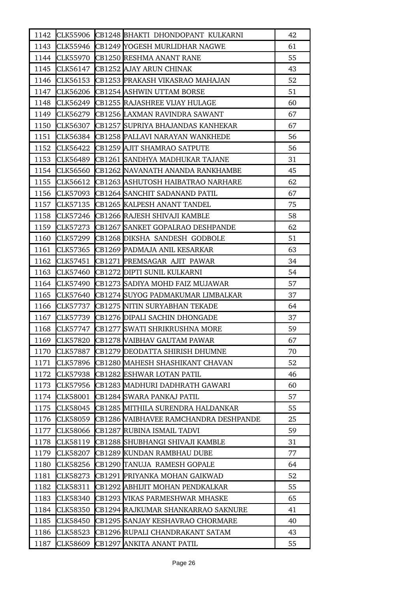| 1142 |                 | CLK55906 CB1248 BHAKTI DHONDOPANT KULKARNI | 42 |
|------|-----------------|--------------------------------------------|----|
| 1143 |                 | CLK55946 CB1249 YOGESH MURLIDHAR NAGWE     | 61 |
| 1144 |                 | CLK55970 CB1250 RESHMA ANANT RANE          | 55 |
| 1145 | CLK56147        | CB1252 AJAY ARUN CHINAK                    | 43 |
| 1146 | CLK56153        | CB1253 PRAKASH VIKASRAO MAHAJAN            | 52 |
| 1147 | CLK56206        | CB1254 ASHWIN UTTAM BORSE                  | 51 |
| 1148 | CLK56249        | CB1255 RAJASHREE VIJAY HULAGE              | 60 |
| 1149 |                 | CLK56279 CB1256 LAXMAN RAVINDRA SAWANT     | 67 |
| 1150 | CLK56307        | CB1257 SUPRIYA BHAJANDAS KANHEKAR          | 67 |
| 1151 | CLK56384        | <b>CB1258 PALLAVI NARAYAN WANKHEDE</b>     | 56 |
| 1152 | CLK56422        | CB1259 AJIT SHAMRAO SATPUTE                | 56 |
| 1153 | CLK56489        | CB1261 SANDHYA MADHUKAR TAJANE             | 31 |
| 1154 | CLK56560        | CB1262 NAVANATH ANANDA RANKHAMBE           | 45 |
| 1155 | CLK56612        | CB1263 ASHUTOSH HAIBATRAO NARHARE          | 62 |
| 1156 | CLK57093        | CB1264 SANCHIT SADANAND PATIL              | 67 |
| 1157 |                 | CLK57135 CB1265 KALPESH ANANT TANDEL       | 75 |
| 1158 | CLK57246        | CB1266 RAJESH SHIVAJI KAMBLE               | 58 |
| 1159 | CLK57273        | CB1267 SANKET GOPALRAO DESHPANDE           | 62 |
| 1160 | CLK57299        | CB1268 DIKSHA SANDESH GODBOLE              | 51 |
| 1161 | CLK57365        | CB1269 PADMAJA ANIL KESARKAR               | 63 |
| 1162 | CLK57451        | CB1271 PREMSAGAR AJIT PAWAR                | 34 |
| 1163 | CLK57460        | <b>CB1272 DIPTI SUNIL KULKARNI</b>         | 54 |
| 1164 | CLK57490        | <b>CB1273 SADIYA MOHD FAIZ MUJAWAR</b>     | 57 |
| 1165 | CLK57640        | CB1274 SUYOG PADMAKUMAR LIMBALKAR          | 37 |
| 1166 | CLK57737        | CB1275 NITIN SURYABHAN TEKADE              | 64 |
| 1167 | <b>CLK57739</b> | CB1276 DIPALI SACHIN DHONGADE              | 37 |
| 1168 | CLK57747        | CB1277 SWATI SHRIKRUSHNA MORE              | 59 |
| 1169 | <b>CLK57820</b> | CB1278 VAIBHAV GAUTAM PAWAR                | 67 |
| 1170 | CLK57887        | CB1279 DEODATTA SHIRISH DHUMNE             | 70 |
| 1171 | CLK57896        | CB1280 MAHESH SHASHIKANT CHAVAN            | 52 |
| 1172 | CLK57938        | CB1282 ESHWAR LOTAN PATIL                  | 46 |
| 1173 | CLK57956        | CB1283 MADHURI DADHRATH GAWARI             | 60 |
| 1174 | CLK58001        | CB1284 SWARA PANKAJ PATIL                  | 57 |
| 1175 | CLK58045        | CB1285 MITHILA SURENDRA HALDANKAR          | 55 |
| 1176 | CLK58059        | CB1286 VAIBHAVEE RAMCHANDRA DESHPANDE      | 25 |
| 1177 | CLK58066        | CB1287 RUBINA ISMAIL TADVI                 | 59 |
| 1178 | CLK58119        | CB1288 SHUBHANGI SHIVAJI KAMBLE            | 31 |
| 1179 | CLK58207        | CB1289 KUNDAN RAMBHAU DUBE                 | 77 |
| 1180 | CLK58256        | CB1290 TANUJA RAMESH GOPALE                | 64 |
| 1181 | CLK58273        | CB1291 PRIYANKA MOHAN GAIKWAD              | 52 |
| 1182 | CLK58311        | CB1292 ABHIJIT MOHAN PENDKALKAR            | 55 |
| 1183 | CLK58340        | CB1293 VIKAS PARMESHWAR MHASKE             | 65 |
| 1184 | CLK58350        | CB1294 RAJKUMAR SHANKARRAO SAKNURE         | 41 |
| 1185 | CLK58450        | CB1295 SANJAY KESHAVRAO CHORMARE           | 40 |
| 1186 | CLK58523        | CB1296 RUPALI CHANDRAKANT SATAM            | 43 |
| 1187 | CLK58609        | CB1297 ANKITA ANANT PATIL                  | 55 |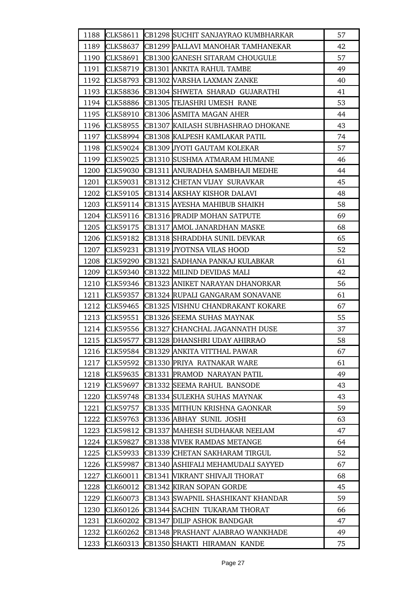| 1188 | CLK58611        | CB1298 SUCHIT SANJAYRAO KUMBHARKAR      | 57 |
|------|-----------------|-----------------------------------------|----|
| 1189 | CLK58637        | CB1299 PALLAVI MANOHAR TAMHANEKAR       | 42 |
|      | 1190 CLK58691   | CB1300 GANESH SITARAM CHOUGULE          | 57 |
| 1191 | CLK58719        | CB1301 ANKITA RAHUL TAMBE               | 49 |
| 1192 | <b>CLK58793</b> | CB1302 VARSHA LAXMAN ZANKE              | 40 |
|      | 1193 CLK58836   | CB1304 SHWETA SHARAD GUJARATHI          | 41 |
| 1194 | <b>CLK58886</b> | CB1305 TEJASHRI UMESH RANE              | 53 |
| 1195 | CLK58910        | CB1306 ASMITA MAGAN AHER                | 44 |
| 1196 | <b>CLK58955</b> | CB1307 KAILASH SUBHASHRAO DHOKANE       | 43 |
|      | 1197 CLK58994   | CB1308 KALPESH KAMLAKAR PATIL           | 74 |
| 1198 |                 | CLK59024 CB1309 JYOTI GAUTAM KOLEKAR    | 57 |
| 1199 | CLK59025        | CB1310 SUSHMA ATMARAM HUMANE            | 46 |
| 1200 | <b>CLK59030</b> | CB1311 ANURADHA SAMBHAJI MEDHE          | 44 |
| 1201 | CLK59031        | CB1312 CHETAN VIJAY SURAVKAR            | 45 |
| 1202 | CLK59105        | CB1314 AKSHAY KISHOR DALAVI             | 48 |
| 1203 |                 | CLK59114 CB1315 AYESHA MAHIBUB SHAIKH   | 58 |
| 1204 | CLK59116        | CB1316 PRADIP MOHAN SATPUTE             | 69 |
| 1205 | CLK59175        | CB1317 AMOL JANARDHAN MASKE             | 68 |
| 1206 | CLK59182        | CB1318 SHRADDHA SUNIL DEVKAR            | 65 |
| 1207 | CLK59231        | CB1319 JYOTNSA VILAS HOOD               | 52 |
| 1208 | CLK59290        | CB1321 SADHANA PANKAJ KULABKAR          | 61 |
| 1209 | CLK59340        | CB1322 MILIND DEVIDAS MALI              | 42 |
| 1210 | CLK59346        | CB1323 ANIKET NARAYAN DHANORKAR         | 56 |
| 1211 | CLK59357        | CB1324 RUPALI GANGARAM SONAVANE         | 61 |
| 1212 | <b>CLK59465</b> | <b>CB1325 WISHNU CHANDRAKANT KOKARE</b> | 67 |
| 1213 | CLK59551        | CB1326 SEEMA SUHAS MAYNAK               | 55 |
|      | 1214 CLK59556   | CB1327 CHANCHAL JAGANNATH DUSE          | 37 |
|      | 1215 CLK59577   | CB1328 DHANSHRI UDAY AHIRRAO            | 58 |
| 1216 | CLK59584        | CB1329 ANKITA VITTHAL PAWAR             | 67 |
| 1217 | CLK59592        | CB1330 PRIYA RATNAKAR WARE              | 61 |
| 1218 | CLK59635        | CB1331 PRAMOD NARAYAN PATIL             | 49 |
| 1219 | CLK59697        | CB1332 SEEMA RAHUL BANSODE              | 43 |
| 1220 | <b>CLK59748</b> | CB1334 SULEKHA SUHAS MAYNAK             | 43 |
| 1221 | CLK59757        | CB1335 MITHUN KRISHNA GAONKAR           | 59 |
| 1222 | CLK59763        | CB1336 ABHAY SUNIL JOSHI                | 63 |
| 1223 | CLK59812        | CB1337 MAHESH SUDHAKAR NEELAM           | 47 |
| 1224 | CLK59827        | CB1338 VIVEK RAMDAS METANGE             | 64 |
| 1225 | CLK59933        | CB1339 CHETAN SAKHARAM TIRGUL           | 52 |
| 1226 | CLK59987        | CB1340 ASHIFALI MEHAMUDALI SAYYED       | 67 |
| 1227 | CLK60011        | CB1341 WIKRANT SHIVAJI THORAT           | 68 |
| 1228 | CLK60012        | CB1342 KIRAN SOPAN GORDE                | 45 |
| 1229 | <b>CLK60073</b> | CB1343 SWAPNIL SHASHIKANT KHANDAR       | 59 |
| 1230 | CLK60126        | CB1344 SACHIN TUKARAM THORAT            | 66 |
| 1231 | CLK60202        | CB1347 DILIP ASHOK BANDGAR              | 47 |
| 1232 | CLK60262        | CB1348 PRASHANT AJABRAO WANKHADE        | 49 |
| 1233 | CLK60313        | CB1350 SHAKTI HIRAMAN KANDE             | 75 |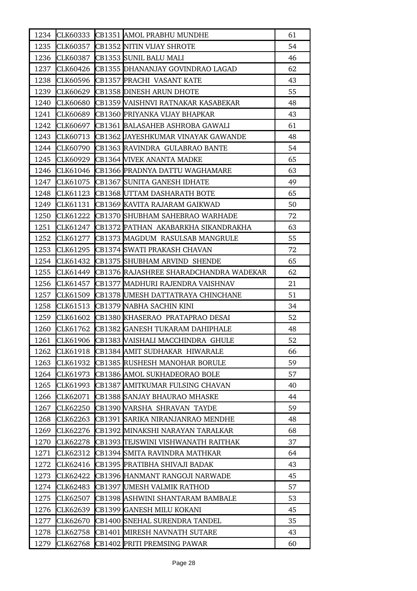| 1234 |                 | CLK60333 CB1351 AMOL PRABHU MUNDHE        | 61 |
|------|-----------------|-------------------------------------------|----|
| 1235 | CLK60357        | CB1352 NITIN VIJAY SHROTE                 | 54 |
| 1236 | CLK60387        | CB1353 SUNIL BALU MALI                    | 46 |
| 1237 | CLK60426        | CB1355 DHANANJAY GOVINDRAO LAGAD          | 62 |
| 1238 | CLK60596        | CB1357 PRACHI VASANT KATE                 | 43 |
| 1239 |                 | CLK60629 CB1358 DINESH ARUN DHOTE         | 55 |
| 1240 | CLK60680        | CB1359 WAISHNVI RATNAKAR KASABEKAR        | 48 |
| 1241 | CLK60689        | CB1360 PRIYANKA VIJAY BHAPKAR             | 43 |
| 1242 | CLK60697        | CB1361 BALASAHEB ASHROBA GAWALI           | 61 |
| 1243 | CLK60713        | CB1362 JAYESHKUMAR VINAYAK GAWANDE        | 48 |
| 1244 | CLK60790        | CB1363 RAVINDRA GULABRAO BANTE            | 54 |
| 1245 | CLK60929        | <b>CB1364 VIVEK ANANTA MADKE</b>          | 65 |
| 1246 | CLK61046        | CB1366 PRADNYA DATTU WAGHAMARE            | 63 |
| 1247 | CLK61075        | CB1367 SUNITA GANESH IDHATE               | 49 |
| 1248 | CLK61123        | CB1368 UTTAM DASHARATH BOTE               | 65 |
| 1249 | CLK61131        | CB1369 KAVITA RAJARAM GAIKWAD             | 50 |
| 1250 | CLK61222        | CB1370 SHUBHAM SAHEBRAO WARHADE           | 72 |
| 1251 | CLK61247        | CB1372 PATHAN AKABARKHA SIKANDRAKHA       | 63 |
| 1252 | CLK61277        | CB1373 MAGDUM RASULSAB MANGRULE           | 55 |
| 1253 | CLK61295        | CB1374 SWATI PRAKASH CHAVAN               | 72 |
| 1254 | CLK61432        | CB1375 SHUBHAM ARVIND SHENDE              | 65 |
| 1255 | CLK61449        | CB1376 RAJASHREE SHARADCHANDRA WADEKAR    | 62 |
| 1256 | CLK61457        | CB1377 MADHURI RAJENDRA VAISHNAV          | 21 |
| 1257 | CLK61509        | CB1378 UMESH DATTATRAYA CHINCHANE         | 51 |
| 1258 | CLK61513        | CB1379 NABHA SACHIN KINI                  | 34 |
| 1259 | CLK61602        | CB1380 KHASERAO PRATAPRAO DESAI           | 52 |
| 1260 | CLK61762        | CB1382 GANESH TUKARAM DAHIPHALE           | 48 |
| 1261 |                 | CLK61906 CB1383 VAISHALI MACCHINDRA GHULE | 52 |
| 1262 | CLK61918        | CB1384 AMIT SUDHAKAR HIWARALE             | 66 |
| 1263 | CLK61932        | CB1385 RUSHESH MANOHAR BORULE             | 59 |
| 1264 | CLK61973        | CB1386 AMOL SUKHADEORAO BOLE              | 57 |
| 1265 | CLK61993        | CB1387 AMITKUMAR FULSING CHAVAN           | 40 |
| 1266 | CLK62071        | CB1388 SANJAY BHAURAO MHASKE              | 44 |
| 1267 | CLK62250        | CB1390 VARSHA SHRAVAN TAYDE               | 59 |
| 1268 | <b>CLK62263</b> | CB1391 SARIKA NIRANJANRAO MENDHE          | 48 |
| 1269 | CLK62276        | CB1392 MINAKSHI NARAYAN TARALKAR          | 68 |
| 1270 | CLK62278        | CB1393 TEJSWINI VISHWANATH RAITHAK        | 37 |
| 1271 | CLK62312        | CB1394 SMITA RAVINDRA MATHKAR             | 64 |
| 1272 | CLK62416        | CB1395 PRATIBHA SHIVAJI BADAK             | 43 |
| 1273 | CLK62422        | CB1396 HANMANT RANGOJI NARWADE            | 45 |
| 1274 | CLK62483        | CB1397 UMESH VALMIK RATHOD                | 57 |
| 1275 | CLK62507        | CB1398 ASHWINI SHANTARAM BAMBALE          | 53 |
| 1276 | CLK62639        | CB1399 GANESH MILU KOKANI                 | 45 |
| 1277 | CLK62670        | CB1400 SNEHAL SURENDRA TANDEL             | 35 |
| 1278 | CLK62758        | CB1401 MIRESH NAVNATH SUTARE              | 43 |
| 1279 | CLK62768        | CB1402 PRITI PREMSING PAWAR               | 60 |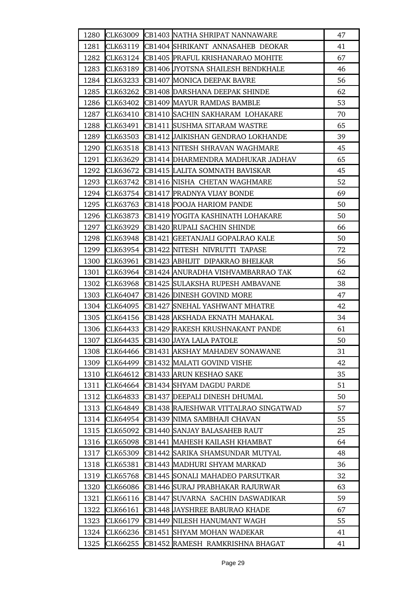| 1280 | <b>CLK63009</b> | CB1403 NATHA SHRIPAT NANNAWARE            | 47 |
|------|-----------------|-------------------------------------------|----|
| 1281 | CLK63119        | CB1404 SHRIKANT ANNASAHEB DEOKAR          | 41 |
| 1282 |                 | CLK63124 CB1405 PRAFUL KRISHANARAO MOHITE | 67 |
| 1283 | CLK63189        | CB1406 JYOTSNA SHAILESH BENDKHALE         | 46 |
| 1284 | CLK63233        | CB1407 MONICA DEEPAK BAVRE                | 56 |
| 1285 | CLK63262        | CB1408 DARSHANA DEEPAK SHINDE             | 62 |
| 1286 | <b>CLK63402</b> | CB1409 MAYUR RAMDAS BAMBLE                | 53 |
| 1287 | CLK63410        | CB1410 SACHIN SAKHARAM LOHAKARE           | 70 |
| 1288 | CLK63491        | CB1411 SUSHMA SITARAM WASTRE              | 65 |
| 1289 | CLK63503        | CB1412 JAIKISHAN GENDRAO LOKHANDE         | 39 |
| 1290 | CLK63518        | CB1413 NITESH SHRAVAN WAGHMARE            | 45 |
| 1291 | CLK63629        | CB1414 DHARMENDRA MADHUKAR JADHAV         | 65 |
| 1292 | CLK63672        | CB1415 LALITA SOMNATH BAVISKAR            | 45 |
| 1293 | CLK63742        | CB1416 NISHA CHETAN WAGHMARE              | 52 |
| 1294 |                 | CLK63754 CB1417 PRADNYA VIJAY BONDE       | 69 |
| 1295 | CLK63763        | <b>CB1418 POOJA HARIOM PANDE</b>          | 50 |
| 1296 | CLK63873        | CB1419 YOGITA KASHINATH LOHAKARE          | 50 |
| 1297 | CLK63929        | CB1420 RUPALI SACHIN SHINDE               | 66 |
| 1298 | CLK63948        | CB1421 GEETANJALI GOPALRAO KALE           | 50 |
| 1299 | CLK63954        | CB1422 NITESH NIVRUTTI TAPASE             | 72 |
| 1300 | CLK63961        | CB1423 ABHIJIT DIPAKRAO BHELKAR           | 56 |
| 1301 | CLK63964        | CB1424 ANURADHA VISHVAMBARRAO TAK         | 62 |
| 1302 | CLK63968        | CB1425 SULAKSHA RUPESH AMBAVANE           | 38 |
| 1303 | CLK64047        | CB1426 DINESH GOVIND MORE                 | 47 |
| 1304 | CLK64095        | CB1427 SNEHAL YASHWANT MHATRE             | 42 |
| 1305 | CLK64156        | CB1428 AKSHADA EKNATH MAHAKAL             | 34 |
|      | 1306 CLK64433   | <b>CB1429 RAKESH KRUSHNAKANT PANDE</b>    | 61 |
|      |                 | 1307 CLK64435 CB1430 JAYA LALA PATOLE     | 50 |
| 1308 | CLK64466        | CB1431 AKSHAY MAHADEV SONAWANE            | 31 |
| 1309 | CLK64499        | CB1432 MALATI GOVIND VISHE                | 42 |
| 1310 | CLK64612        | CB1433 ARUN KESHAO SAKE                   | 35 |
| 1311 | CLK64664        | CB1434 SHYAM DAGDU PARDE                  | 51 |
| 1312 | CLK64833        | CB1437 DEEPALI DINESH DHUMAL              | 50 |
| 1313 | <b>CLK64849</b> | CB1438 RAJESHWAR VITTALRAO SINGATWAD      | 57 |
| 1314 | CLK64954        | CB1439 NIMA SAMBHAJI CHAVAN               | 55 |
| 1315 | CLK65092        | CB1440 SANJAY BALASAHEB RAUT              | 25 |
| 1316 | CLK65098        | CB1441 MAHESH KAILASH KHAMBAT             | 64 |
| 1317 | <b>CLK65309</b> | CB1442 SARIKA SHAMSUNDAR MUTYAL           | 48 |
| 1318 | CLK65381        | CB1443 MADHURI SHYAM MARKAD               | 36 |
| 1319 | <b>CLK65768</b> | CB1445 SONALI MAHADEO PARSUTKAR           | 32 |
| 1320 | <b>CLK66086</b> | CB1446 SURAJ PRABHAKAR RAJURWAR           | 63 |
| 1321 | CLK66116        | CB1447 SUVARNA SACHIN DASWADIKAR          | 59 |
| 1322 | CLK66161        | CB1448 JAYSHREE BABURAO KHADE             | 67 |
| 1323 | CLK66179        | CB1449 NILESH HANUMANT WAGH               | 55 |
| 1324 | CLK66236        | CB1451 SHYAM MOHAN WADEKAR                | 41 |
| 1325 | CLK66255        | CB1452 RAMESH RAMKRISHNA BHAGAT           | 41 |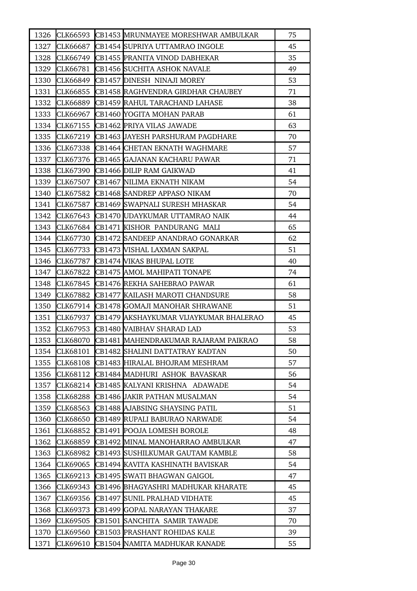| 1326 |                 | CLK66593 CB1453 MRUNMAYEE MORESHWAR AMBULKAR  | 75 |
|------|-----------------|-----------------------------------------------|----|
| 1327 | CLK66687        | CB1454 SUPRIYA UTTAMRAO INGOLE                | 45 |
| 1328 | CLK66749        | CB1455 PRANITA VINOD DABHEKAR                 | 35 |
| 1329 | CLK66781        | CB1456 SUCHITA ASHOK NAVALE                   | 49 |
| 1330 | <b>CLK66849</b> | CB1457 DINESH NINAJI MOREY                    | 53 |
| 1331 | CLK66855        | CB1458 RAGHVENDRA GIRDHAR CHAUBEY             | 71 |
| 1332 | CLK66889        | CB1459 RAHUL TARACHAND LAHASE                 | 38 |
| 1333 | CLK66967        | CB1460 YOGITA MOHAN PARAB                     | 61 |
| 1334 |                 | CLK67155 CB1462 PRIYA VILAS JAWADE            | 63 |
| 1335 | CLK67219        | CB1463 JAYESH PARSHURAM PAGDHARE              | 70 |
| 1336 | CLK67338        | CB1464 CHETAN EKNATH WAGHMARE                 | 57 |
| 1337 | CLK67376        | CB1465 GAJANAN KACHARU PAWAR                  | 71 |
| 1338 |                 | CLK67390 CB1466 DILIP RAM GAIKWAD             | 41 |
| 1339 | CLK67507        | CB1467 NILIMA EKNATH NIKAM                    | 54 |
| 1340 | CLK67582        | CB1468 SANDREP APPASO NIKAM                   | 70 |
| 1341 |                 | CLK67587 CB1469 SWAPNALI SURESH MHASKAR       | 54 |
| 1342 |                 | CLK67643 CB1470 UDAYKUMAR UTTAMRAO NAIK       | 44 |
| 1343 |                 | CLK67684 CB1471 KISHOR PANDURANG MALI         | 65 |
| 1344 | CLK67730        | CB1472 SANDEEP ANANDRAO GONARKAR              | 62 |
| 1345 | CLK67733        | <b>CB1473 WISHAL LAXMAN SAKPAL</b>            | 51 |
| 1346 | CLK67787        | CB1474 VIKAS BHUPAL LOTE                      | 40 |
| 1347 | CLK67822        | CB1475 AMOL MAHIPATI TONAPE                   | 74 |
| 1348 | CLK67845        | CB1476 REKHA SAHEBRAO PAWAR                   | 61 |
| 1349 | CLK67882        | CB1477 KAILASH MAROTI CHANDSURE               | 58 |
| 1350 |                 | CLK67914 CB1478 GOMAJI MANOHAR SHRAWANE       | 51 |
| 1351 | CLK67937        | CB1479 AKSHAYKUMAR VIJAYKUMAR BHALERAO        | 45 |
| 1352 | CLK67953        | CB1480 VAIBHAV SHARAD LAD                     | 53 |
| 1353 |                 | CLK68070 CB1481 MAHENDRAKUMAR RAJARAM PAIKRAO | 58 |
| 1354 | CLK68101        | CB1482 SHALINI DATTATRAY KADTAN               | 50 |
| 1355 | CLK68108        | CB1483 HIRALAL BHOJRAM MESHRAM                | 57 |
| 1356 | CLK68112        | CB1484 MADHURI ASHOK BAVASKAR                 | 56 |
| 1357 | CLK68214        | CB1485 KALYANI KRISHNA ADAWADE                | 54 |
| 1358 | <b>CLK68288</b> | CB1486 JAKIR PATHAN MUSALMAN                  | 54 |
| 1359 | CLK68563        | CB1488 AJABSING SHAYSING PATIL                | 51 |
| 1360 | CLK68650        | CB1489 RUPALI BABURAO NARWADE                 | 54 |
| 1361 | CLK68852        | CB1491 POOJA LOMESH BOROLE                    | 48 |
| 1362 | CLK68859        | CB1492 MINAL MANOHARRAO AMBULKAR              | 47 |
| 1363 | CLK68982        | CB1493 SUSHILKUMAR GAUTAM KAMBLE              | 58 |
| 1364 | CLK69065        | CB1494 KAVITA KASHINATH BAVISKAR              | 54 |
| 1365 | CLK69213        | CB1495 SWATI BHAGWAN GAIGOL                   | 47 |
| 1366 | CLK69343        | CB1496  BHAGYASHRI MADHUKAR KHARATE           | 45 |
| 1367 | CLK69356        | CB1497 SUNIL PRALHAD VIDHATE                  | 45 |
| 1368 | CLK69373        | CB1499 GOPAL NARAYAN THAKARE                  | 37 |
| 1369 | CLK69505        | CB1501 SANCHITA SAMIR TAWADE                  | 70 |
| 1370 | CLK69560        | CB1503 PRASHANT ROHIDAS KALE                  | 39 |
| 1371 | CLK69610        | CB1504 NAMITA MADHUKAR KANADE                 | 55 |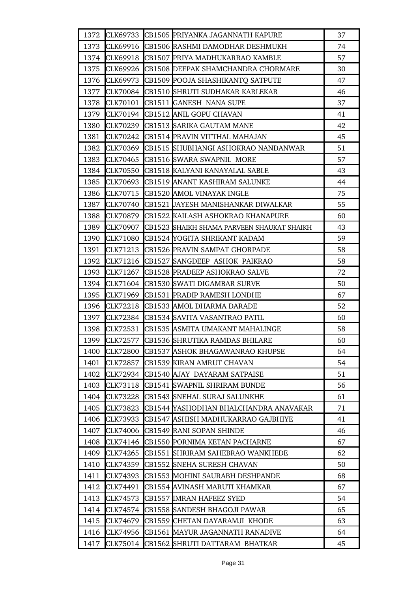| 1372 |                 | CLK69733 CB1505 PRIYANKA JAGANNATH KAPURE  | 37 |
|------|-----------------|--------------------------------------------|----|
| 1373 | CLK69916        | CB1506 RASHMI DAMODHAR DESHMUKH            | 74 |
| 1374 | CLK69918        | CB1507 PRIYA MADHUKARRAO KAMBLE            | 57 |
| 1375 | CLK69926        | CB1508 DEEPAK SHAMCHANDRA CHORMARE         | 30 |
| 1376 | CLK69973        | CB1509 POOJA SHASHIKANTQ SATPUTE           | 47 |
| 1377 |                 | CLK70084 CB1510 SHRUTI SUDHAKAR KARLEKAR   | 46 |
| 1378 | CLK70101        | CB1511 GANESH NANA SUPE                    | 37 |
| 1379 | CLK70194        | CB1512 ANIL GOPU CHAVAN                    | 41 |
| 1380 | CLK70239        | CB1513 SARIKA GAUTAM MANE                  | 42 |
| 1381 | CLK70242        | CB1514 PRAVIN VITTHAL MAHAJAN              | 45 |
| 1382 | CLK70369        | CB1515 SHUBHANGI ASHOKRAO NANDANWAR        | 51 |
| 1383 | CLK70465        | CB1516 SWARA SWAPNIL MORE                  | 57 |
| 1384 | <b>CLK70550</b> | CB1518 KALYANI KANAYALAL SABLE             | 43 |
| 1385 | CLK70693        | CB1519 ANANT KASHIRAM SALUNKE              | 44 |
| 1386 | CLK70715        | CB1520 AMOL VINAYAK INGLE                  | 75 |
| 1387 | <b>CLK70740</b> | CB1521 JAYESH MANISHANKAR DIWALKAR         | 55 |
| 1388 | <b>CLK70879</b> | CB1522 KAILASH ASHOKRAO KHANAPURE          | 60 |
| 1389 | <b>CLK70907</b> | CB1523 SHAIKH SHAMA PARVEEN SHAUKAT SHAIKH | 43 |
| 1390 | CLK71080        | CB1524 YOGITA SHRIKANT KADAM               | 59 |
| 1391 | CLK71213        | CB1526 PRAVIN SAMPAT GHORPADE              | 58 |
| 1392 | CLK71216        | CB1527 SANGDEEP ASHOK PAIKRAO              | 58 |
| 1393 | CLK71267        | <b>CB1528 PRADEEP ASHOKRAO SALVE</b>       | 72 |
| 1394 | CLK71604        | CB1530 SWATI DIGAMBAR SURVE                | 50 |
| 1395 | CLK71969        | CB1531 PRADIP RAMESH LONDHE                | 67 |
| 1396 | <b>CLK72218</b> | CB1533 AMOL DHARMA DARADE                  | 52 |
| 1397 | CLK72384        | CB1534 SAVITA VASANTRAO PATIL              | 60 |
| 1398 | CLK72531        | CB1535 ASMITA UMAKANT MAHALINGE            | 58 |
| 1399 | CLK72577        | CB1536 SHRUTIKA RAMDAS BHILARE             | 60 |
| 1400 | <b>CLK72800</b> | CB1537 ASHOK BHAGAWANRAO KHUPSE            | 64 |
| 1401 | <b>CLK72857</b> | CB1539 KIRAN AMRUT CHAVAN                  | 54 |
| 1402 | CLK72934        | CB1540 AJAY DAYARAM SATPAISE               | 51 |
| 1403 | CLK73118        | CB1541 SWAPNIL SHRIRAM BUNDE               | 56 |
| 1404 | <b>CLK73228</b> | CB1543 SNEHAL SURAJ SALUNKHE               | 61 |
| 1405 | <b>CLK73823</b> | CB1544 YASHODHAN BHALCHANDRA ANAVAKAR      | 71 |
| 1406 | <b>CLK73933</b> | CB1547 ASHISH MADHUKARRAO GAJBHIYE         | 41 |
| 1407 | CLK74006        | CB1549 RANI SOPAN SHINDE                   | 46 |
| 1408 | CLK74146        | CB1550 PORNIMA KETAN PACHARNE              | 67 |
| 1409 | CLK74265        | CB1551 SHRIRAM SAHEBRAO WANKHEDE           | 62 |
| 1410 | CLK74359        | CB1552 SNEHA SURESH CHAVAN                 | 50 |
| 1411 | CLK74393        | CB1553 MOHINI SAURABH DESHPANDE            | 68 |
| 1412 | CLK74491        | CB1554 AVINASH MARUTI KHAMKAR              | 67 |
| 1413 | CLK74573        | CB1557 IMRAN HAFEEZ SYED                   | 54 |
| 1414 | CLK74574        | CB1558 SANDESH BHAGOJI PAWAR               | 65 |
| 1415 | CLK74679        | CB1559 CHETAN DAYARAMJI KHODE              | 63 |
| 1416 | CLK74956        | CB1561 MAYUR JAGANNATH RANADIVE            | 64 |
| 1417 | CLK75014        | CB1562 SHRUTI DATTARAM BHATKAR             | 45 |